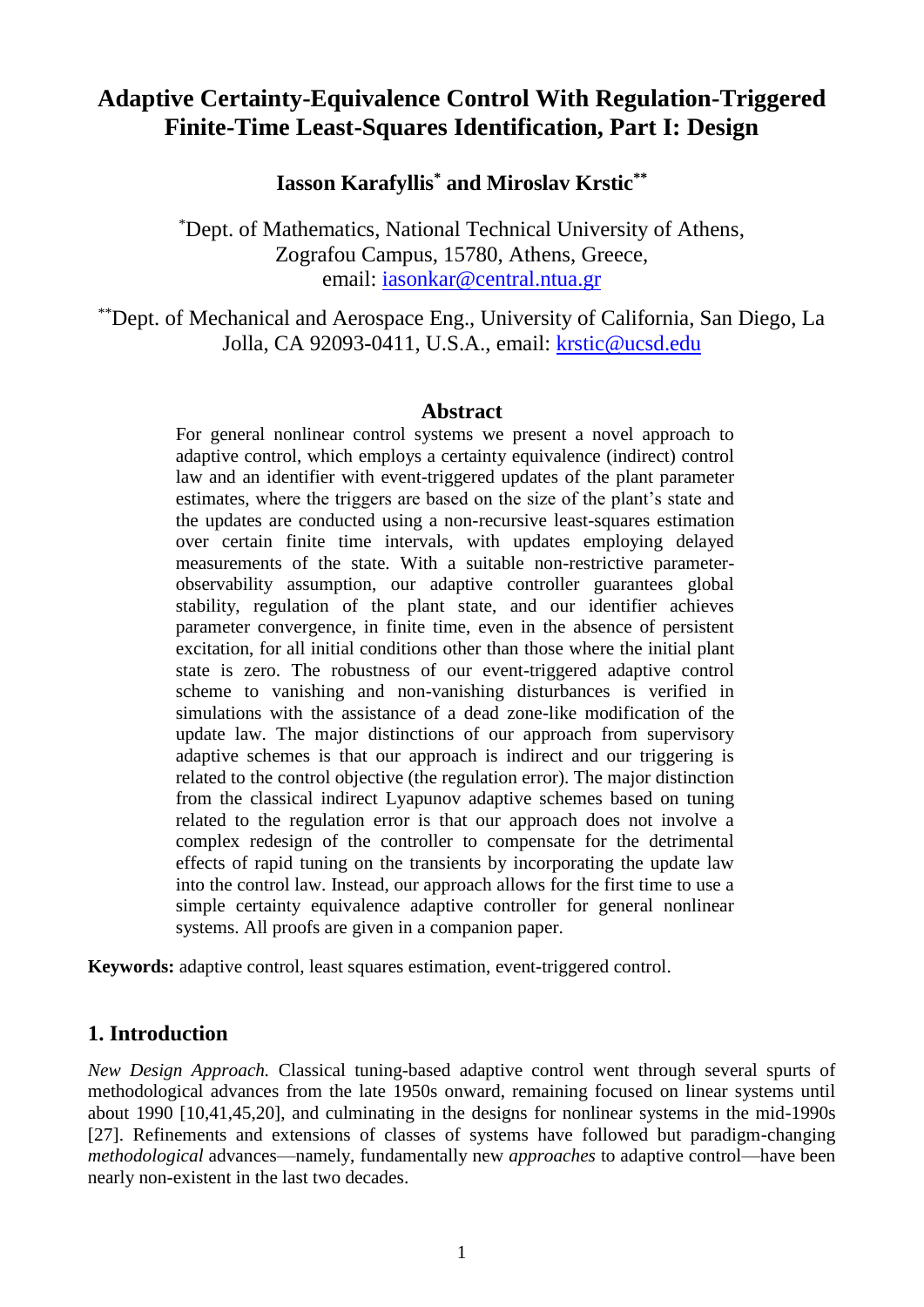# **Adaptive Certainty-Equivalence Control With Regulation-Triggered Finite-Time Least-Squares Identification, Part I: Design**

**Iasson Karafyllis\* and Miroslav Krstic\*\***

\*Dept. of Mathematics, National Technical University of Athens, Zografou Campus, 15780, Athens, Greece, email: [iasonkar@central.ntua.gr](mailto:iasonkar@central.ntua.gr)

\*\*Dept. of Mechanical and Aerospace Eng., University of California, San Diego, La Jolla, CA 92093-0411, U.S.A., email: [krstic@ucsd.edu](mailto:krstic@ucsd.edu)

## **Abstract**

For general nonlinear control systems we present a novel approach to adaptive control, which employs a certainty equivalence (indirect) control law and an identifier with event-triggered updates of the plant parameter estimates, where the triggers are based on the size of the plant's state and the updates are conducted using a non-recursive least-squares estimation over certain finite time intervals, with updates employing delayed measurements of the state. With a suitable non-restrictive parameterobservability assumption, our adaptive controller guarantees global stability, regulation of the plant state, and our identifier achieves parameter convergence, in finite time, even in the absence of persistent excitation, for all initial conditions other than those where the initial plant state is zero. The robustness of our event-triggered adaptive control scheme to vanishing and non-vanishing disturbances is verified in simulations with the assistance of a dead zone-like modification of the update law. The major distinctions of our approach from supervisory adaptive schemes is that our approach is indirect and our triggering is related to the control objective (the regulation error). The major distinction from the classical indirect Lyapunov adaptive schemes based on tuning related to the regulation error is that our approach does not involve a complex redesign of the controller to compensate for the detrimental effects of rapid tuning on the transients by incorporating the update law into the control law. Instead, our approach allows for the first time to use a simple certainty equivalence adaptive controller for general nonlinear systems. All proofs are given in a companion paper.

**Keywords:** adaptive control, least squares estimation, event-triggered control.

## **1. Introduction**

*New Design Approach.* Classical tuning-based adaptive control went through several spurts of methodological advances from the late 1950s onward, remaining focused on linear systems until about 1990 [10,41,45,20], and culminating in the designs for nonlinear systems in the mid-1990s [27]. Refinements and extensions of classes of systems have followed but paradigm-changing *methodological* advances—namely, fundamentally new *approaches* to adaptive control—have been nearly non-existent in the last two decades.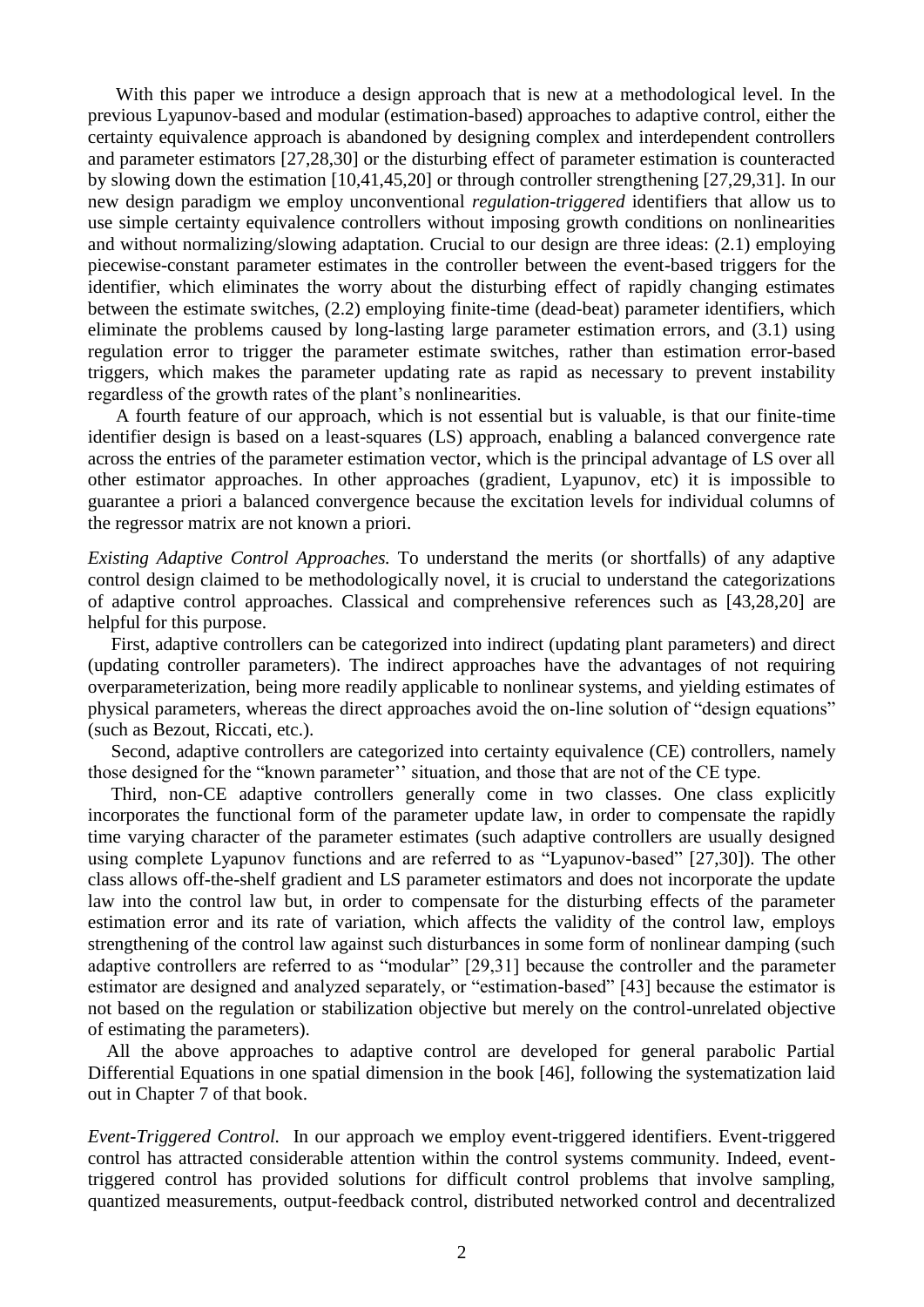With this paper we introduce a design approach that is new at a methodological level. In the previous Lyapunov-based and modular (estimation-based) approaches to adaptive control, either the certainty equivalence approach is abandoned by designing complex and interdependent controllers and parameter estimators [27,28,30] or the disturbing effect of parameter estimation is counteracted by slowing down the estimation [10,41,45,20] or through controller strengthening [27,29,31]. In our new design paradigm we employ unconventional *regulation-triggered* identifiers that allow us to use simple certainty equivalence controllers without imposing growth conditions on nonlinearities and without normalizing/slowing adaptation. Crucial to our design are three ideas: (2.1) employing piecewise-constant parameter estimates in the controller between the event-based triggers for the identifier, which eliminates the worry about the disturbing effect of rapidly changing estimates between the estimate switches, (2.2) employing finite-time (dead-beat) parameter identifiers, which eliminate the problems caused by long-lasting large parameter estimation errors, and (3.1) using regulation error to trigger the parameter estimate switches, rather than estimation error-based triggers, which makes the parameter updating rate as rapid as necessary to prevent instability regardless of the growth rates of the plant's nonlinearities.

 A fourth feature of our approach, which is not essential but is valuable, is that our finite-time identifier design is based on a least-squares (LS) approach, enabling a balanced convergence rate across the entries of the parameter estimation vector, which is the principal advantage of LS over all other estimator approaches. In other approaches (gradient, Lyapunov, etc) it is impossible to guarantee a priori a balanced convergence because the excitation levels for individual columns of the regressor matrix are not known a priori.

*Existing Adaptive Control Approaches.* To understand the merits (or shortfalls) of any adaptive control design claimed to be methodologically novel, it is crucial to understand the categorizations of adaptive control approaches. Classical and comprehensive references such as [43,28,20] are helpful for this purpose.

 First, adaptive controllers can be categorized into indirect (updating plant parameters) and direct (updating controller parameters). The indirect approaches have the advantages of not requiring overparameterization, being more readily applicable to nonlinear systems, and yielding estimates of physical parameters, whereas the direct approaches avoid the on-line solution of "design equations" (such as Bezout, Riccati, etc.).

 Second, adaptive controllers are categorized into certainty equivalence (CE) controllers, namely those designed for the "known parameter'' situation, and those that are not of the CE type.

 Third, non-CE adaptive controllers generally come in two classes. One class explicitly incorporates the functional form of the parameter update law, in order to compensate the rapidly time varying character of the parameter estimates (such adaptive controllers are usually designed using complete Lyapunov functions and are referred to as "Lyapunov-based" [27,30]). The other class allows off-the-shelf gradient and LS parameter estimators and does not incorporate the update law into the control law but, in order to compensate for the disturbing effects of the parameter estimation error and its rate of variation, which affects the validity of the control law, employs strengthening of the control law against such disturbances in some form of nonlinear damping (such adaptive controllers are referred to as "modular" [29,31] because the controller and the parameter estimator are designed and analyzed separately, or "estimation-based" [43] because the estimator is not based on the regulation or stabilization objective but merely on the control-unrelated objective of estimating the parameters).

 All the above approaches to adaptive control are developed for general parabolic Partial Differential Equations in one spatial dimension in the book [46], following the systematization laid out in Chapter 7 of that book.

*Event-Triggered Control.* In our approach we employ event-triggered identifiers. Event-triggered control has attracted considerable attention within the control systems community. Indeed, eventtriggered control has provided solutions for difficult control problems that involve sampling, quantized measurements, output-feedback control, distributed networked control and decentralized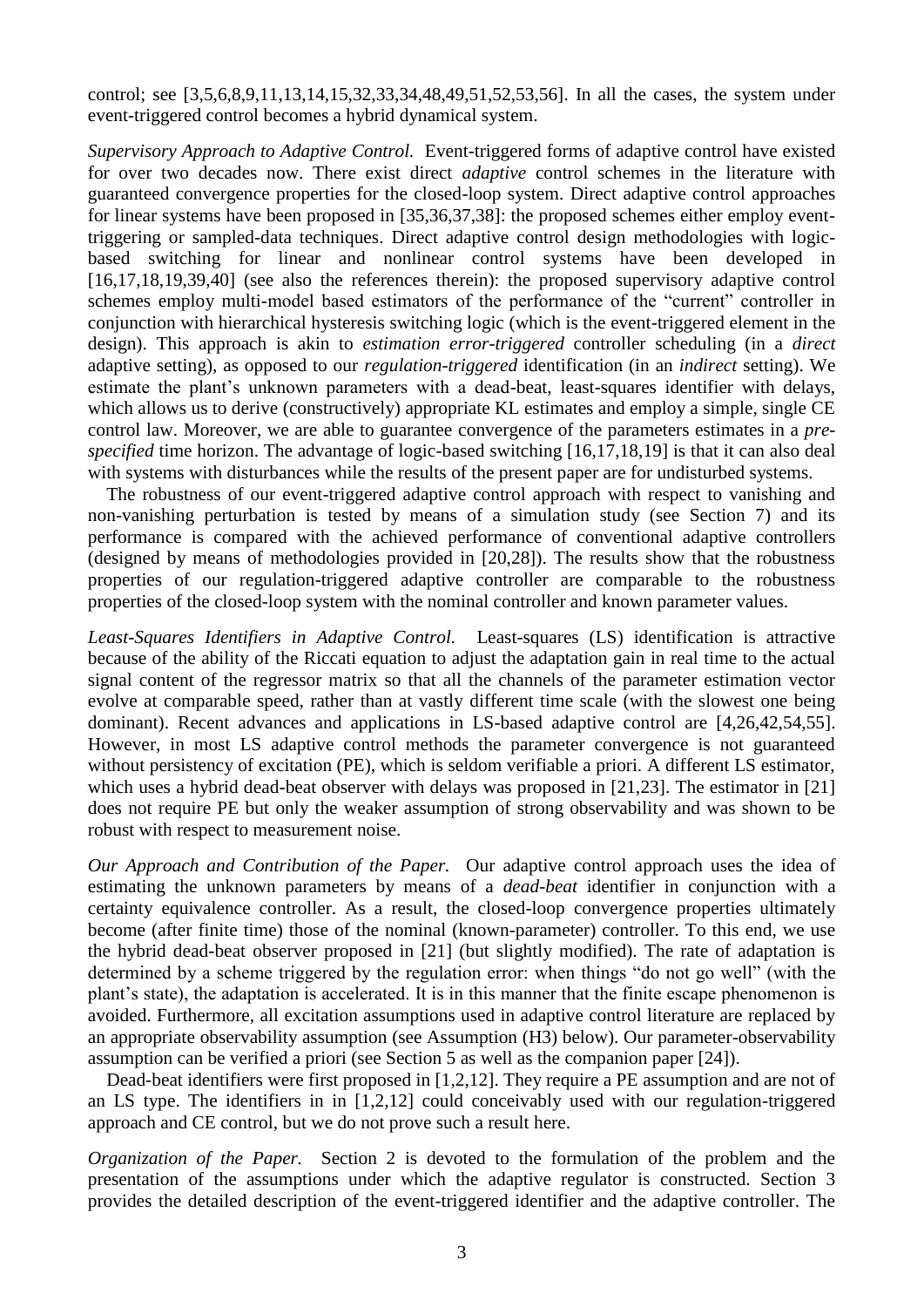control; see [3,5,6,8,9,11,13,14,15,32,33,34,48,49,51,52,53,56]. In all the cases, the system under event-triggered control becomes a hybrid dynamical system.

*Supervisory Approach to Adaptive Control.* Event-triggered forms of adaptive control have existed for over two decades now. There exist direct *adaptive* control schemes in the literature with guaranteed convergence properties for the closed-loop system. Direct adaptive control approaches for linear systems have been proposed in [35,36,37,38]: the proposed schemes either employ eventtriggering or sampled-data techniques. Direct adaptive control design methodologies with logicbased switching for linear and nonlinear control systems have been developed in [16,17,18,19,39,40] (see also the references therein): the proposed supervisory adaptive control schemes employ multi-model based estimators of the performance of the "current" controller in conjunction with hierarchical hysteresis switching logic (which is the event-triggered element in the design). This approach is akin to *estimation error-triggered* controller scheduling (in a *direct* adaptive setting), as opposed to our *regulation-triggered* identification (in an *indirect* setting). We estimate the plant's unknown parameters with a dead-beat, least-squares identifier with delays, which allows us to derive (constructively) appropriate KL estimates and employ a simple, single CE control law. Moreover, we are able to guarantee convergence of the parameters estimates in a *prespecified* time horizon. The advantage of logic-based switching [16,17,18,19] is that it can also deal with systems with disturbances while the results of the present paper are for undisturbed systems.

 The robustness of our event-triggered adaptive control approach with respect to vanishing and non-vanishing perturbation is tested by means of a simulation study (see Section 7) and its performance is compared with the achieved performance of conventional adaptive controllers (designed by means of methodologies provided in [20,28]). The results show that the robustness properties of our regulation-triggered adaptive controller are comparable to the robustness properties of the closed-loop system with the nominal controller and known parameter values.

*Least-Squares Identifiers in Adaptive Control.* Least-squares (LS) identification is attractive because of the ability of the Riccati equation to adjust the adaptation gain in real time to the actual signal content of the regressor matrix so that all the channels of the parameter estimation vector evolve at comparable speed, rather than at vastly different time scale (with the slowest one being dominant). Recent advances and applications in LS-based adaptive control are [4,26,42,54,55]. However, in most LS adaptive control methods the parameter convergence is not guaranteed without persistency of excitation (PE), which is seldom verifiable a priori. A different LS estimator, which uses a hybrid dead-beat observer with delays was proposed in [21,23]. The estimator in [21] does not require PE but only the weaker assumption of strong observability and was shown to be robust with respect to measurement noise.

*Our Approach and Contribution of the Paper.* Our adaptive control approach uses the idea of estimating the unknown parameters by means of a *dead-beat* identifier in conjunction with a certainty equivalence controller. As a result, the closed-loop convergence properties ultimately become (after finite time) those of the nominal (known-parameter) controller. To this end, we use the hybrid dead-beat observer proposed in [21] (but slightly modified). The rate of adaptation is determined by a scheme triggered by the regulation error: when things "do not go well" (with the plant's state), the adaptation is accelerated. It is in this manner that the finite escape phenomenon is avoided. Furthermore, all excitation assumptions used in adaptive control literature are replaced by an appropriate observability assumption (see Assumption (H3) below). Our parameter-observability assumption can be verified a priori (see Section 5 as well as the companion paper [24]).

 Dead-beat identifiers were first proposed in [1,2,12]. They require a PE assumption and are not of an LS type. The identifiers in in [1,2,12] could conceivably used with our regulation-triggered approach and CE control, but we do not prove such a result here.

*Organization of the Paper.* Section 2 is devoted to the formulation of the problem and the presentation of the assumptions under which the adaptive regulator is constructed. Section 3 provides the detailed description of the event-triggered identifier and the adaptive controller. The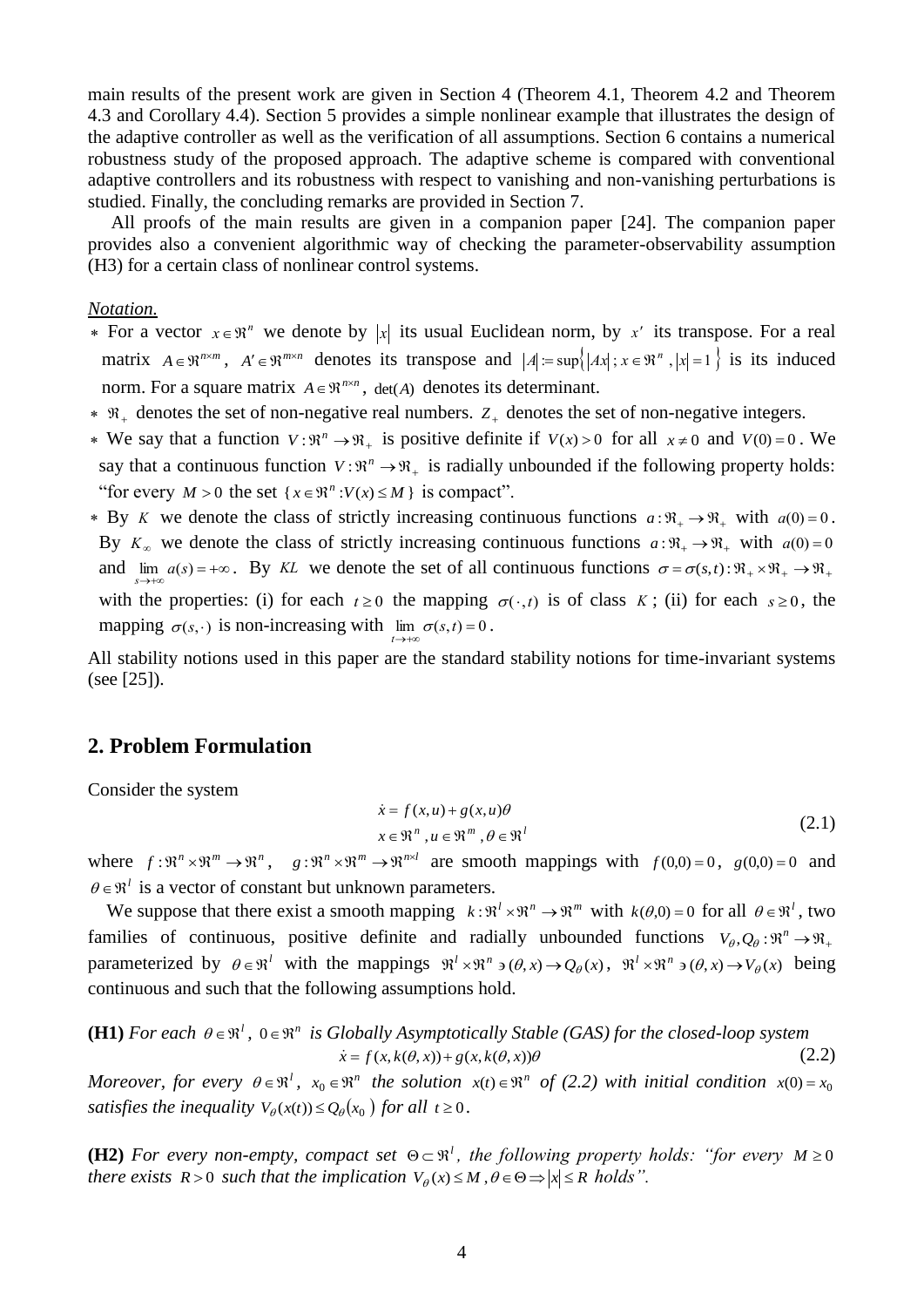main results of the present work are given in Section 4 (Theorem 4.1, Theorem 4.2 and Theorem 4.3 and Corollary 4.4). Section 5 provides a simple nonlinear example that illustrates the design of the adaptive controller as well as the verification of all assumptions. Section 6 contains a numerical robustness study of the proposed approach. The adaptive scheme is compared with conventional adaptive controllers and its robustness with respect to vanishing and non-vanishing perturbations is studied. Finally, the concluding remarks are provided in Section 7.

 All proofs of the main results are given in a companion paper [24]. The companion paper provides also a convenient algorithmic way of checking the parameter-observability assumption (H3) for a certain class of nonlinear control systems.

#### *Notation.*

- \* For a vector  $x \in \mathbb{R}^n$  we denote by |x| its usual Euclidean norm, by x' its transpose. For a real matrix  $A \in \mathbb{R}^{n \times m}$ ,  $A' \in \mathbb{R}^{m \times n}$  denotes its transpose and  $|A| := \sup\{|Ax| : x \in \mathbb{R}^n |, |x| = 1\}$  is its induced norm. For a square matrix  $A \in \mathbb{R}^{n \times n}$ , det(*A*) denotes its determinant.
- $\ast$   $\mathcal{R}_+$  denotes the set of non-negative real numbers.  $Z_+$  denotes the set of non-negative integers.
- We say that a function  $V: \mathbb{R}^n \to \mathbb{R}_+$  is positive definite if  $V(x) > 0$  for all  $x \neq 0$  and  $V(0) = 0$ . We say that a continuous function  $V : \mathbb{R}^n \to \mathbb{R}_+$  is radially unbounded if the following property holds: "for every  $M > 0$  the set  $\{x \in \mathbb{R}^n : V(x) \le M\}$  is compact".
- \* By *K* we denote the class of strictly increasing continuous functions  $a : \mathbb{R}_+ \to \mathbb{R}_+$  with  $a(0) = 0$ . By  $K_{\infty}$  we denote the class of strictly increasing continuous functions  $a : \mathbb{R}_+ \to \mathbb{R}_+$  with  $a(0) = 0$ and  $\lim_{s\to\infty} a(s) = +\infty$ . By KL we denote the set of all continuous functions  $\sigma = \sigma(s,t): \Re_+ \times \Re_+ \to \Re_+$ with the properties: (i) for each  $t \ge 0$  the mapping  $\sigma(\cdot,t)$  is of class K; (ii) for each  $s \ge 0$ , the mapping  $\sigma(s, \cdot)$  is non-increasing with  $\lim_{t \to \infty} \sigma(s, t) = 0$ .

All stability notions used in this paper are the standard stability notions for time-invariant systems (see [25]).

### **2. Problem Formulation**

Consider the system

$$
\begin{aligned}\n\dot{x} &= f(x, u) + g(x, u)\theta \\
x \in \mathfrak{R}^n, u \in \mathfrak{R}^m, \theta \in \mathfrak{R}^l\n\end{aligned} \tag{2.1}
$$

where  $f: \mathbb{R}^n \times \mathbb{R}^m \to \mathbb{R}^n$ ,  $g: \mathbb{R}^n \times \mathbb{R}^m \to \mathbb{R}^{n \times l}$  are smooth mappings with  $f(0,0) = 0$ ,  $g(0,0) = 0$  and  $\theta \in \mathbb{R}^l$  is a vector of constant but unknown parameters.

We suppose that there exist a smooth mapping  $k: \mathbb{R}^l \times \mathbb{R}^n \to \mathbb{R}^m$  with  $k(\theta,0) = 0$  for all  $\theta \in \mathbb{R}^l$ , two families of continuous, positive definite and radially unbounded functions  $V_{\theta}, Q_{\theta} : \mathbb{R}^n \to \mathbb{R}$ . parameterized by  $\theta \in \mathbb{R}^l$  with the mappings  $\mathbb{R}^l \times \mathbb{R}^n \ni (\theta, x) \to Q_\theta(x)$ ,  $\mathbb{R}^l \times \mathbb{R}^n \ni (\theta, x) \to V_\theta(x)$  being continuous and such that the following assumptions hold.

**(H1)** *For each*  $\theta \in \mathbb{R}^l$ ,  $0 \in \mathbb{R}^n$  is Globally Asymptotically Stable (GAS) for the closed-loop system  $\dot{x} = f(x, k(\theta, x)) + g(x, k(\theta, x))\theta$  (2.2) *Moreover, for every*  $\theta \in \mathbb{R}^l$ ,  $x_0 \in \mathbb{R}^n$  the solution  $x(t) \in \mathbb{R}^n$  of (2.2) with initial condition  $x(0) = x_0$ *satisfies the inequality*  $V_{\theta}(x(t)) \leq Q_{\theta}(x_0)$  *for all t* ≥ 0.

**(H2)** For every non-empty, compact set  $\Theta \subset \mathbb{R}^l$ , the following property holds: "for every  $M \geq 0$ *there exists*  $R > 0$  *such that the implication*  $V_{\theta}(x) \leq M$ ,  $\theta \in \Theta \Rightarrow |x| \leq R$  *holds*".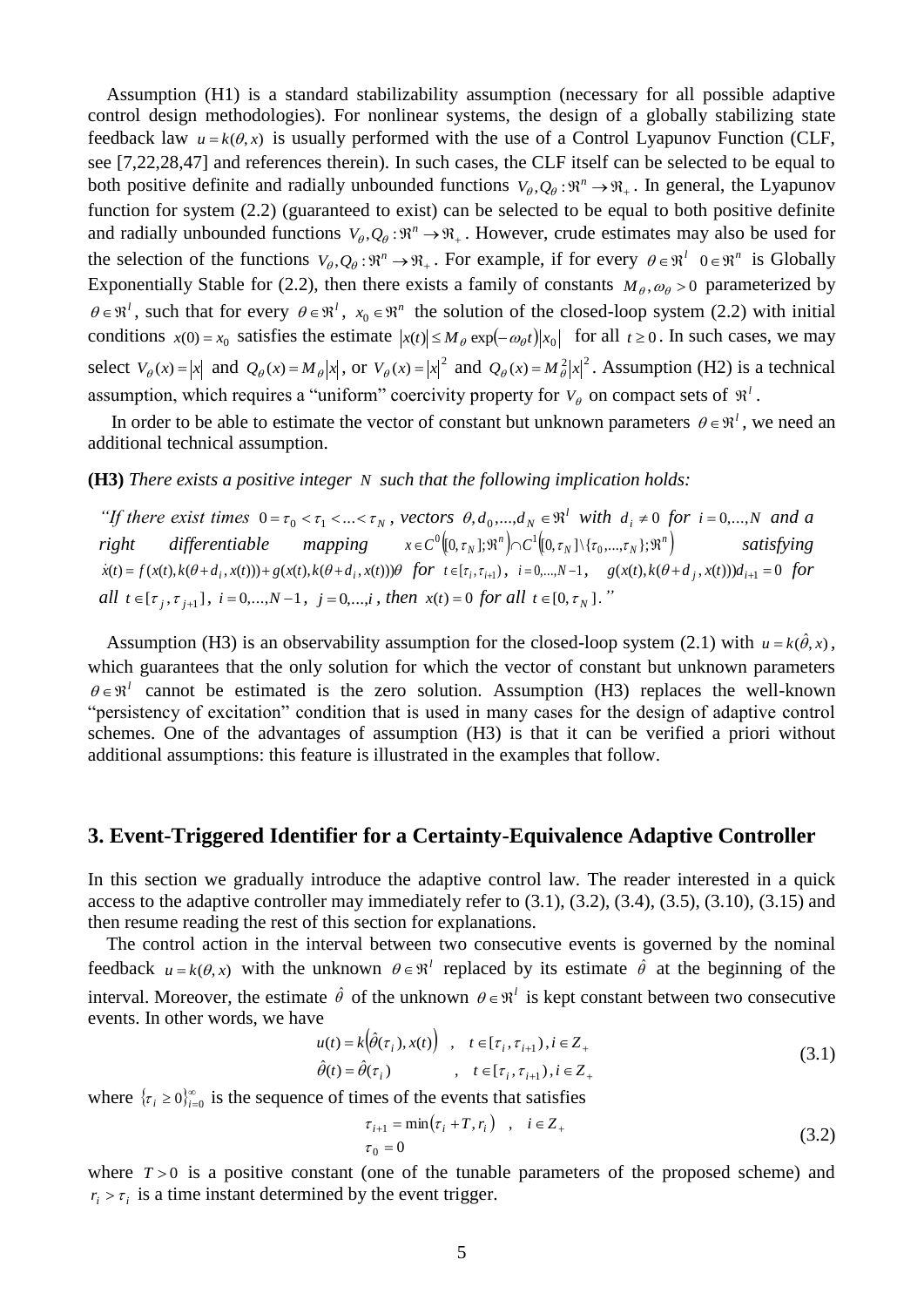Assumption (H1) is a standard stabilizability assumption (necessary for all possible adaptive control design methodologies). For nonlinear systems, the design of a globally stabilizing state feedback law  $u = k(\theta, x)$  is usually performed with the use of a Control Lyapunov Function (CLF, see [7,22,28,47] and references therein). In such cases, the CLF itself can be selected to be equal to both positive definite and radially unbounded functions  $V_{\theta}, Q_{\theta} : \mathbb{R}^n \to \mathbb{R}_+$ . In general, the Lyapunov function for system (2.2) (guaranteed to exist) can be selected to be equal to both positive definite and radially unbounded functions  $V_{\theta}, Q_{\theta} : \mathbb{R}^n \to \mathbb{R}_+$ . However, crude estimates may also be used for the selection of the functions  $V_{\theta}, Q_{\theta} : \mathbb{R}^n \to \mathbb{R}_+$ . For example, if for every  $\theta \in \mathbb{R}^l$   $0 \in \mathbb{R}^n$  is Globally Exponentially Stable for (2.2), then there exists a family of constants  $M_{\theta}$ ,  $\omega_{\theta} > 0$  parameterized by  $\theta \in \mathbb{R}^l$ , such that for every  $\theta \in \mathbb{R}^l$ ,  $x_0 \in \mathbb{R}^n$  the solution of the closed-loop system (2.2) with initial conditions  $x(0) = x_0$  satisfies the estimate  $|x(t)| \le M_\theta \exp(-\omega_\theta t)|x_0|$  for all  $t \ge 0$ . In such cases, we may select  $V_{\theta}(x) = |x|$  and  $Q_{\theta}(x) = M_{\theta}|x|$ , or  $V_{\theta}(x) = |x|^2$  and  $Q_{\theta}(x) = M_{\theta}^2 |x|^2$ . Assumption (H2) is a technical assumption, which requires a "uniform" coercivity property for  $V_\theta$  on compact sets of  $\mathbb{R}^l$ .

In order to be able to estimate the vector of constant but unknown parameters  $\theta \in \mathbb{R}^l$ , we need an additional technical assumption.

**(H3)** *There exists a positive integer N such that the following implication holds:*

"*If there exist times*  $0 = \tau_0 < \tau_1 < ... < \tau_N$ , vectors  $\theta, d_0, ..., d_N \in \mathbb{R}^l$  with  $d_i \neq 0$  for  $i = 0,...,N$  and a  $right$  differentiable mapping  $x \in C^{0}([0, \tau_N]; \mathbb{R}^n) \cap C^{1}([0, \tau_N] \setminus {\{\tau_0, ..., \tau_N\}}; \mathbb{R}^n)$  satisfying  $\dot{x}(t) = f(x(t), k(\theta + d_i, x(t))) + g(x(t), k(\theta + d_i, x(t)))\theta$  for  $t \in [\tau_i, \tau_{i+1}), i = 0,..., N-1, g(x(t), k(\theta + d_j, x(t)))d_{i+1} = 0$  for *all*  $t \in [\tau_j, \tau_{j+1}], i = 0,...,N-1, j = 0,...,i, then x(t) = 0 for all t \in [0, \tau_N].$ "

Assumption (H3) is an observability assumption for the closed-loop system (2.1) with  $u = k(\hat{\theta}, x)$ , which guarantees that the only solution for which the vector of constant but unknown parameters  $\theta \in \mathbb{R}^l$  cannot be estimated is the zero solution. Assumption (H3) replaces the well-known "persistency of excitation" condition that is used in many cases for the design of adaptive control schemes. One of the advantages of assumption (H3) is that it can be verified a priori without additional assumptions: this feature is illustrated in the examples that follow.

#### **3. Event-Triggered Identifier for a Certainty-Equivalence Adaptive Controller**

In this section we gradually introduce the adaptive control law. The reader interested in a quick access to the adaptive controller may immediately refer to  $(3.1)$ ,  $(3.2)$ ,  $(3.4)$ ,  $(3.5)$ ,  $(3.10)$ ,  $(3.15)$  and then resume reading the rest of this section for explanations.

 The control action in the interval between two consecutive events is governed by the nominal feedback  $u = k(\theta, x)$  with the unknown  $\theta \in \mathbb{R}^l$  replaced by its estimate  $\hat{\theta}$  at the beginning of the interval. Moreover, the estimate  $\hat{\theta}$  of the unknown  $\theta \in \mathbb{R}^l$  is kept constant between two consecutive events. In other words, we have

$$
u(t) = k\left(\hat{\theta}(\tau_i), x(t)\right) , \quad t \in [\tau_i, \tau_{i+1}), i \in Z_+
$$
  
\n
$$
\hat{\theta}(t) = \hat{\theta}(\tau_i) , \quad t \in [\tau_i, \tau_{i+1}), i \in Z_+
$$
\n(3.1)

where  $\{\tau_i \geq 0\}_{i=1}^{\infty}$  $\{\tau_i \geq 0\}_{i=0}^{\infty}$  is the sequence of times of the events that satisfies

$$
\tau_{i+1} = \min(\tau_i + T, r_i) \quad , \quad i \in Z_+ \n\tau_0 = 0
$$
\n(3.2)

where  $T > 0$  is a positive constant (one of the tunable parameters of the proposed scheme) and  $r_i > \tau_i$  is a time instant determined by the event trigger.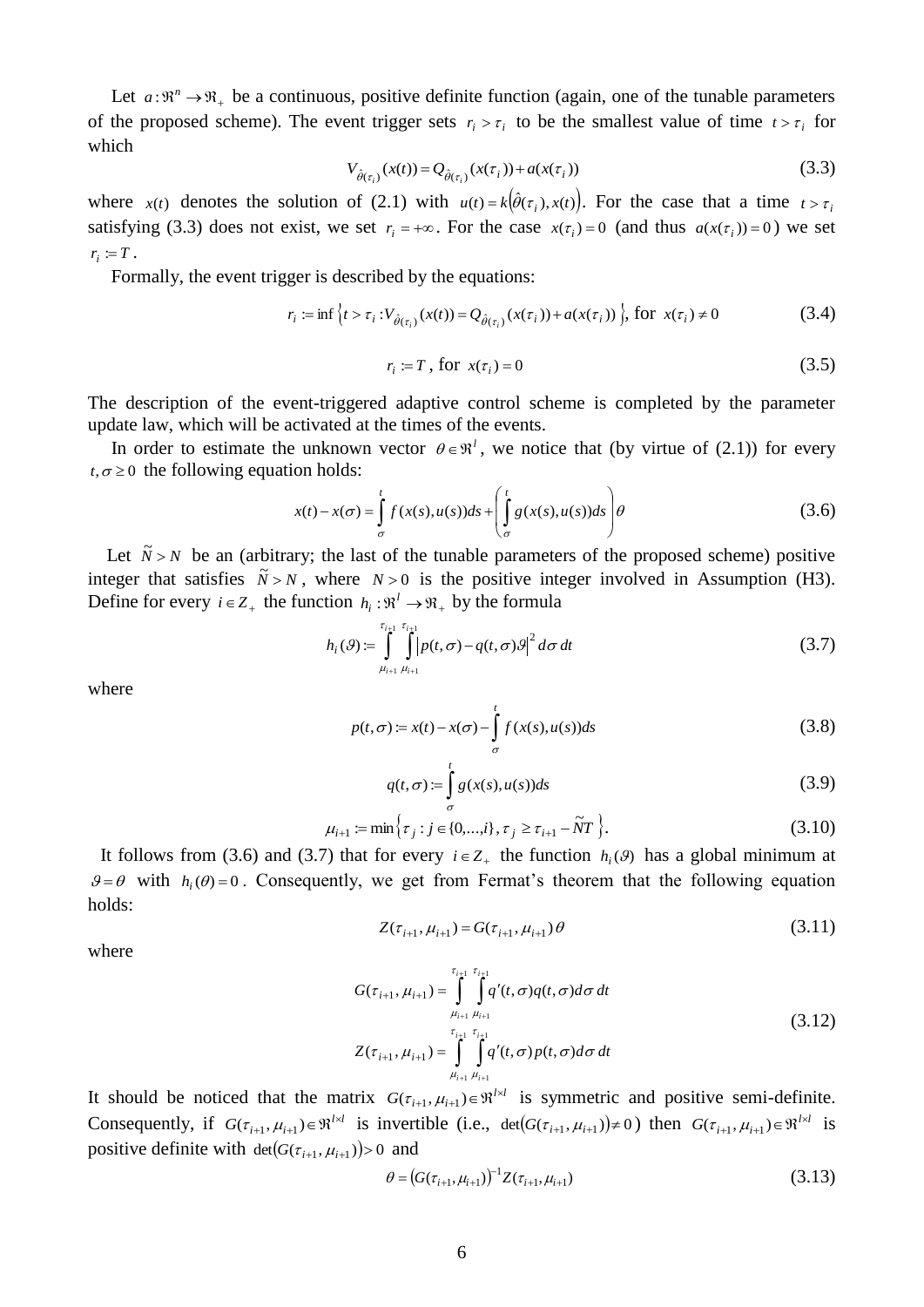Let  $a:\mathbb{R}^n\to\mathbb{R}_+$  be a continuous, positive definite function (again, one of the tunable parameters of the proposed scheme). The event trigger sets  $r_i > \tau_i$  to be the smallest value of time  $t > \tau_i$  for which

$$
V_{\hat{\theta}(\tau_i)}(x(t)) = Q_{\hat{\theta}(\tau_i)}(x(\tau_i)) + a(x(\tau_i))
$$
\n(3.3)

where  $x(t)$  denotes the solution of (2.1) with  $u(t) = k(\hat{\theta}(\tau_i), x(t))$ . For the case that a time  $t > \tau_i$ satisfying (3.3) does not exist, we set  $r_i = +\infty$ . For the case  $x(\tau_i) = 0$  (and thus  $a(x(\tau_i)) = 0$ ) we set  $r_i := T$ .

Formally, the event trigger is described by the equations:

$$
r_i := \inf \left\{ t > \tau_i : V_{\hat{\theta}(\tau_i)}(x(t)) = Q_{\hat{\theta}(\tau_i)}(x(\tau_i)) + a(x(\tau_i)) \right\}, \text{ for } x(\tau_i) \neq 0 \tag{3.4}
$$

$$
r_i := T, \text{ for } x(\tau_i) = 0 \tag{3.5}
$$

The description of the event-triggered adaptive control scheme is completed by the parameter update law, which will be activated at the times of the events.

In order to estimate the unknown vector  $\theta \in \mathbb{R}^l$ , we notice that (by virtue of (2.1)) for every  $t, \sigma \geq 0$  the following equation holds:

$$
x(t) - x(\sigma) = \int_{\sigma}^{t} f(x(s), u(s))ds + \left(\int_{\sigma}^{t} g(x(s), u(s))ds\right)\theta
$$
\n(3.6)

Let  $\tilde{N} > N$  be an (arbitrary; the last of the tunable parameters of the proposed scheme) positive integer that satisfies  $\tilde{N} > N$ , where  $N > 0$  is the positive integer involved in Assumption (H3). Define for every  $i \in Z_+$  the function  $h_i : \mathbb{R}^l \to \mathbb{R}_+$  by the formula

$$
h_i(\mathcal{G}) \coloneqq \int_{\mu_{i+1}}^{\tau_{i+1}} \int_{\mu_{i+1}}^{\tau_{i+1}} |p(t,\sigma) - q(t,\sigma)\mathcal{G}|^2 d\sigma dt \qquad (3.7)
$$

where

$$
p(t,\sigma) \coloneqq x(t) - x(\sigma) - \int_{\sigma}^{t} f(x(s),u(s))ds
$$
\n(3.8)

$$
q(t,\sigma) := \int_{\sigma}^{t} g(x(s),u(s))ds
$$
\n(3.9)

$$
\mu_{i+1} := \min\Big\{\tau_j : j \in \{0, \dots, i\}, \tau_j \ge \tau_{i+1} - \tilde{N}T\Big\}.
$$
\n(3.10)

It follows from (3.6) and (3.7) that for every  $i \in Z_+$  the function  $h_i(\mathcal{G})$  has a global minimum at  $\theta = \theta$  with  $h_i(\theta) = 0$ . Consequently, we get from Fermat's theorem that the following equation holds:

$$
Z(\tau_{i+1}, \mu_{i+1}) = G(\tau_{i+1}, \mu_{i+1})\theta \tag{3.11}
$$

where

$$
G(\tau_{i+1}, \mu_{i+1}) = \int_{\mu_{i+1}}^{\tau_{i+1}} \int_{\mu_{i+1}}^{\tau_{i+1}} q'(t, \sigma) q(t, \sigma) d\sigma dt
$$
  

$$
Z(\tau_{i+1}, \mu_{i+1}) = \int_{\mu_{i+1}}^{\tau_{i+1}} \int_{\mu_{i+1}}^{\tau_{i+1}} q'(t, \sigma) p(t, \sigma) d\sigma dt
$$
 (3.12)

It should be noticed that the matrix  $G(\tau_{i+1}, \mu_{i+1}) \in \mathbb{R}^{N}$  is symmetric and positive semi-definite. Consequently, if  $G(\tau_{i+1}, \mu_{i+1}) \in \mathbb{R}^{l \times l}$  is invertible (i.e.,  $\det(G(\tau_{i+1}, \mu_{i+1})) \neq 0$ ) then  $G(\tau_{i+1}, \mu_{i+1}) \in \mathbb{R}^{l \times l}$  is positive definite with  $det(G(\tau_{i+1}, \mu_{i+1})) > 0$  and

$$
\theta = (G(\tau_{i+1}, \mu_{i+1}))^{-1} Z(\tau_{i+1}, \mu_{i+1})
$$
\n(3.13)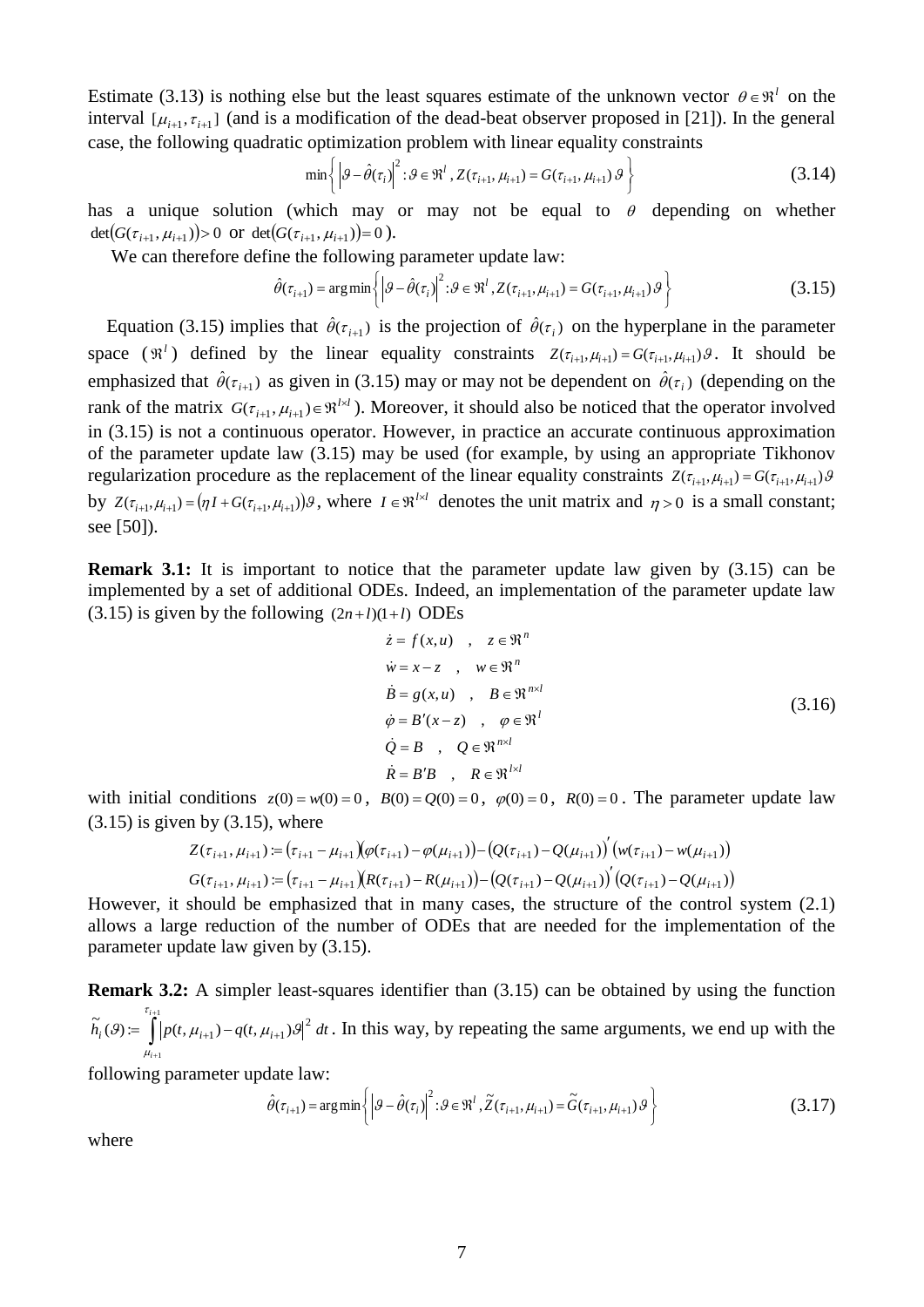Estimate (3.13) is nothing else but the least squares estimate of the unknown vector  $\theta \in \mathbb{R}^l$  on the interval  $[\mu_{i+1}, \tau_{i+1}]$  (and is a modification of the dead-beat observer proposed in [21]). In the general case, the following quadratic optimization problem with linear equality constraints

$$
\min\left\{ \left| \theta - \hat{\theta}(\tau_i) \right|^2 : \theta \in \mathfrak{R}^l, Z(\tau_{i+1}, \mu_{i+1}) = G(\tau_{i+1}, \mu_{i+1}) \mathcal{G} \right\}
$$
\n(3.14)

has a unique solution (which may or may not be equal to  $\theta$  depending on whether det $(G(\tau_{i+1}, \mu_{i+1})) > 0$  or det $(G(\tau_{i+1}, \mu_{i+1})) = 0$ ).

We can therefore define the following parameter update law:

$$
\hat{\theta}(\tau_{i+1}) = \arg\min \left\{ \left| \mathcal{G} - \hat{\theta}(\tau_i) \right|^2 : \mathcal{G} \in \mathfrak{R}^l, Z(\tau_{i+1}, \mu_{i+1}) = G(\tau_{i+1}, \mu_{i+1}) \mathcal{G} \right\}
$$
(3.15)

Equation (3.15) implies that  $\hat{\theta}(\tau_{i+1})$  is the projection of  $\hat{\theta}(\tau_i)$  on the hyperplane in the parameter space  $(\mathbb{R}^l)$  defined by the linear equality constraints  $Z(\tau_{i+1}, \mu_{i+1}) = G(\tau_{i+1}, \mu_{i+1}) \mathcal{G}$ . It should be emphasized that  $\hat{\theta}(\tau_{i+1})$  as given in (3.15) may or may not be dependent on  $\hat{\theta}(\tau_i)$  (depending on the rank of the matrix  $G(\tau_{i+1}, \mu_{i+1}) \in \mathbb{R}^{l \times l}$ ). Moreover, it should also be noticed that the operator involved in (3.15) is not a continuous operator. However, in practice an accurate continuous approximation of the parameter update law (3.15) may be used (for example, by using an appropriate Tikhonov regularization procedure as the replacement of the linear equality constraints  $Z(\tau_{i+1}, \mu_{i+1}) = G(\tau_{i+1}, \mu_{i+1})$ by  $Z(\tau_{i+1}, \mu_{i+1}) = (\eta I + G(\tau_{i+1}, \mu_{i+1}))\mathcal{G}$ , where  $I \in \mathbb{R}^{1 \times l}$  denotes the unit matrix and  $\eta > 0$  is a small constant; see [50]).

**Remark 3.1:** It is important to notice that the parameter update law given by (3.15) can be implemented by a set of additional ODEs. Indeed, an implementation of the parameter update law  $(3.15)$  is given by the following  $(2n+l)(1+l)$  ODEs

$$
\begin{aligned}\n\dot{z} &= f(x, u) , z \in \mathbb{R}^n \\
\dot{w} &= x - z , w \in \mathbb{R}^n \\
\dot{B} &= g(x, u) , B \in \mathbb{R}^{n \times l} \\
\dot{\varphi} &= B'(x - z) , \varphi \in \mathbb{R}^l \\
\dot{Q} &= B , Q \in \mathbb{R}^{n \times l} \\
\dot{R} &= B'B , R \in \mathbb{R}^{|\times l} \\
\end{aligned}
$$
\n(3.16)

with initial conditions  $z(0) = w(0) = 0$ ,  $B(0) = Q(0) = 0$ ,  $\varphi(0) = 0$ ,  $R(0) = 0$ . The parameter update law  $(3.15)$  is given by  $(3.15)$ , where

$$
Z(\tau_{i+1}, \mu_{i+1}) := (\tau_{i+1} - \mu_{i+1})(\varphi(\tau_{i+1}) - \varphi(\mu_{i+1})) - (Q(\tau_{i+1}) - Q(\mu_{i+1}))'(w(\tau_{i+1}) - w(\mu_{i+1}))
$$
  

$$
G(\tau_{i+1}, \mu_{i+1}) := (\tau_{i+1} - \mu_{i+1})(R(\tau_{i+1}) - R(\mu_{i+1})) - (Q(\tau_{i+1}) - Q(\mu_{i+1}))'(Q(\tau_{i+1}) - Q(\mu_{i+1}))
$$

However, it should be emphasized that in many cases, the structure of the control system (2.1) allows a large reduction of the number of ODEs that are needed for the implementation of the parameter update law given by (3.15).

**Remark 3.2:** A simpler least-squares identifier than (3.15) can be obtained by using the function ֓֓֓֓֓֓֓֓֓׀֪֪֪֪֪֝֝<br>׀  $\ddot{}$  $= |p(t, \mu_{i+1})-q(t, \mu_{i+1})|$  $\frac{1}{2}$   $(1 - 2)$   $(1 - 2)$   $0^2$ 1  $\widetilde{h}_i(g) = \int_{0}^{t_{i+1}} |p(t, \mu_{i+1}) - q(t, \mu_{i+1})|$ *i*  $h_i(\mathcal{G}) \coloneqq \int |p(t, \mu_{i+1}) - q(t, \mu_{i+1}) \mathcal{G}|^2 dt$ τ  $\mu$  $\mathcal{B} = \left( |p(t, \mu_{i+1}) - q(t, \mu_{i+1}) \mathcal{B}|^2 \right) dt$ . In this way, by repeating the same arguments, we end up with the

following parameter update law:

$$
\hat{\theta}(\tau_{i+1}) = \arg\min \left\{ \left| \mathcal{G} - \hat{\theta}(\tau_i) \right|^2 : \mathcal{G} \in \mathfrak{R}^l, \widetilde{Z}(\tau_{i+1}, \mu_{i+1}) = \widetilde{G}(\tau_{i+1}, \mu_{i+1}) \mathcal{G} \right\}
$$
\n(3.17)

where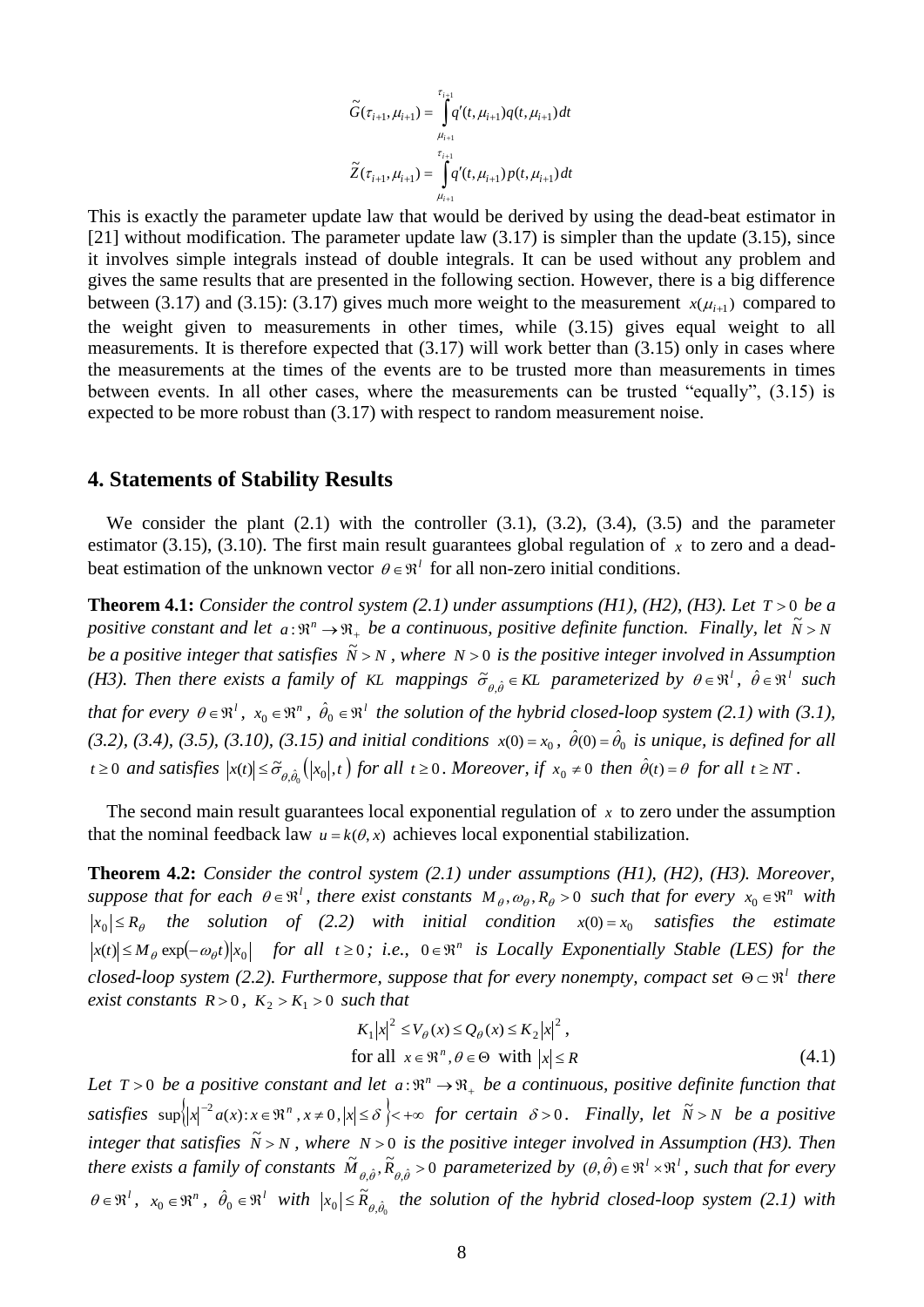$$
\widetilde{G}(\tau_{i+1}, \mu_{i+1}) = \int_{\mu_{i+1}}^{\tau_{i+1}} q'(t, \mu_{i+1}) q(t, \mu_{i+1}) dt
$$
  

$$
\widetilde{Z}(\tau_{i+1}, \mu_{i+1}) = \int_{\mu_{i+1}}^{\tau_{i+1}} q'(t, \mu_{i+1}) p(t, \mu_{i+1}) dt
$$

This is exactly the parameter update law that would be derived by using the dead-beat estimator in [21] without modification. The parameter update law  $(3.17)$  is simpler than the update  $(3.15)$ , since it involves simple integrals instead of double integrals. It can be used without any problem and gives the same results that are presented in the following section. However, there is a big difference between (3.17) and (3.15): (3.17) gives much more weight to the measurement  $x(\mu_{i+1})$  compared to the weight given to measurements in other times, while (3.15) gives equal weight to all measurements. It is therefore expected that (3.17) will work better than (3.15) only in cases where the measurements at the times of the events are to be trusted more than measurements in times between events. In all other cases, where the measurements can be trusted "equally", (3.15) is expected to be more robust than (3.17) with respect to random measurement noise.

#### **4. Statements of Stability Results**

We consider the plant  $(2.1)$  with the controller  $(3.1)$ ,  $(3.2)$ ,  $(3.4)$ ,  $(3.5)$  and the parameter estimator (3.15), (3.10). The first main result guarantees global regulation of x to zero and a deadbeat estimation of the unknown vector  $\theta \in \mathbb{R}^l$  for all non-zero initial conditions.

**Theorem 4.1:** *Consider the control system* (2.1) under assumptions (H1), (H2), (H3). Let  $T > 0$  be a positive constant and let  $a: \mathbb{R}^n \to \mathbb{R}$ , be a continuous, positive definite function. Finally, let  $\tilde{N} > N$ *be a positive integer that satisfies*  $\tilde{N} > N$ , where  $N > 0$  is the positive integer involved in Assumption *(H3). Then there exists a family of KL mappings*  $\tilde{\sigma}_{\theta,\hat{\theta}} \in KL$  *parameterized by*  $\theta \in \mathbb{R}^l$ *,*  $\hat{\theta} \in \mathbb{R}^l$  *such that for every*  $\theta \in \mathbb{R}^l$ ,  $x_0 \in \mathbb{R}^n$ ,  $\hat{\theta}_0 \in \mathbb{R}^l$  the solution of the hybrid closed-loop system (2.1) with (3.1), (3.2), (3.4), (3.5), (3.10), (3.15) and initial conditions  $x(0) = x_0$ ,  $\hat{\theta}(0) = \hat{\theta}_0$  is unique, is defined for all  $t \ge 0$  and satisfies  $|x(t)| \le \tilde{\sigma}_{\theta, \hat{\theta}_0}(|x_0|, t)$  for all  $t \ge 0$ . Moreover, if  $x_0 \ne 0$  then  $\hat{\theta}(t) = \theta$  for all  $t \ge NT$ .

The second main result guarantees local exponential regulation of x to zero under the assumption that the nominal feedback law  $u = k(\theta, x)$  achieves local exponential stabilization.

**Theorem 4.2:** *Consider the control system (2.1) under assumptions (H1), (H2), (H3). Moreover,*  suppose that for each  $\theta \in \mathbb{R}^l$ , there exist constants  $M_\theta$ ,  $\omega_\theta$ ,  $R_\theta > 0$  such that for every  $x_0 \in \mathbb{R}^n$  with  $|x_0| \le R_\theta$  the solution of (2.2) with initial condition  $x(0) = x_0$  satisfies the estimate  $f(x(t) \leq M_\theta \exp(-\omega_\theta t) |x_0|$  for all  $t \geq 0$ ; i.e.,  $0 \in \Re^n$  is Locally Exponentially Stable (LES) for the *closed-loop system (2.2). Furthermore, suppose that for every nonempty, compact set*  $\Theta \subset \mathbb{R}^l$  there *exist constants*  $R > 0$ ,  $K_2 > K_1 > 0$  *such that* 

$$
K_1|x|^2 \le V_\theta(x) \le Q_\theta(x) \le K_2|x|^2,
$$
  
for all  $x \in \mathbb{R}^n, \theta \in \Theta$  with  $|x| \le R$  (4.1)

Let  $T > 0$  be a positive constant and let  $a : \mathbb{R}^n \to \mathbb{R}_+$  be a continuous, positive definite function that *satisfies*  $\sup_{x} \left\{ |x|^{-2} a(x) : x \in \mathbb{R}^n, x \neq 0, |x| \leq \delta \right\}$   $\lt \infty$  for certain  $\delta > 0$ . Finally, let  $\tilde{N} > N$  be a positive *integer that satisfies*  $\tilde{N} > N$ , where  $N > 0$  is the positive integer involved in Assumption (H3). Then there exists a family of constants  $\tilde{M}_{\theta,\hat{\theta}}, \tilde{R}_{\theta,\hat{\theta}} > 0$  parameterized by  $(\theta, \hat{\theta}) \in \mathbb{R}^l \times \mathbb{R}^l$ , such that for every  $\theta \in \mathfrak{R}^l$ ,  $x_0 \in \mathfrak{R}^n$ ,  $\hat{\theta}_0 \in \mathfrak{R}^l$  with  $|x_0| \leq \widetilde{R}_{\theta, \hat{\theta}_0}$  $\tilde{r}$  $|x_0| \leq \widetilde{R}_{\theta, \hat{\theta}_0}$  the solution of the hybrid closed-loop system (2.1) with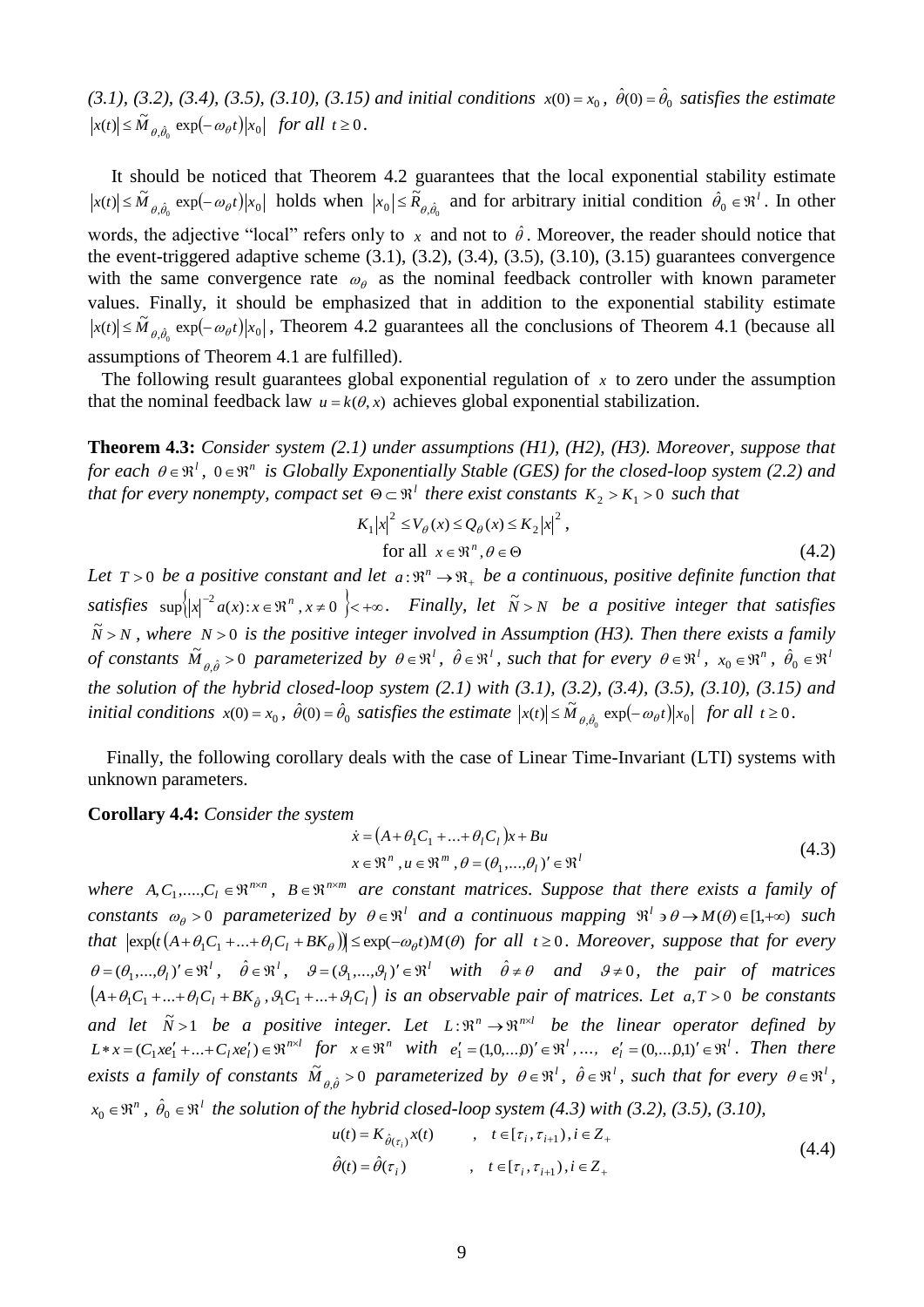(3.1), (3.2), (3.4), (3.5), (3.10), (3.15) and initial conditions  $x(0) = x_0$ ,  $\hat{\theta}(0) = \hat{\theta}_0$  satisfies the estimate  $||x(t)|| \leq \widetilde{M}_{\theta, \hat{\theta}_0} \exp(-\omega_{\theta} t) ||x_0| \text{ for all } t \geq 0.$ 

 It should be noticed that Theorem 4.2 guarantees that the local exponential stability estimate  $|x(t)| \leq \widetilde{M}_{\theta, \hat{\theta}_0} \exp(-\omega_{\theta} t)|x_0|$  holds when  $|x_0| \leq \widetilde{R}_{\theta, \hat{\theta}_0}$  $\frac{1}{n}$  $|x_0| \leq \widetilde{R}_{\theta, \hat{\theta}_0}$  and for arbitrary initial condition  $\hat{\theta}_0 \in \mathbb{R}^l$ . In other words, the adjective "local" refers only to x and not to  $\hat{\theta}$ . Moreover, the reader should notice that the event-triggered adaptive scheme  $(3.1)$ ,  $(3.2)$ ,  $(3.4)$ ,  $(3.5)$ ,  $(3.10)$ ,  $(3.15)$  guarantees convergence with the same convergence rate  $\omega_{\theta}$  as the nominal feedback controller with known parameter values. Finally, it should be emphasized that in addition to the exponential stability estimate  $|x(t)| \leq \widetilde{M}_{\theta, \hat{\theta}_0} \exp(-\omega_{\theta} t)|x_0|$ , Theorem 4.2 guarantees all the conclusions of Theorem 4.1 (because all assumptions of Theorem 4.1 are fulfilled).

 The following result guarantees global exponential regulation of *x* to zero under the assumption that the nominal feedback law  $u = k(\theta, x)$  achieves global exponential stabilization.

**Theorem 4.3:** *Consider system (2.1) under assumptions (H1), (H2), (H3). Moreover, suppose that for each*  $\theta \in \mathbb{R}^l$ ,  $0 \in \mathbb{R}^n$  is Globally Exponentially Stable (GES) for the closed-loop system (2.2) and *that for every nonempty, compact set*  $\Theta \subset \mathbb{R}^l$  *there exist constants*  $K_2 > K_1 > 0$  *such that* 

$$
K_1 |x|^2 \le V_\theta(x) \le Q_\theta(x) \le K_2 |x|^2,
$$
  
for all  $x \in \mathbb{R}^n, \theta \in \Theta$  (4.2)

Let  $T > 0$  be a positive constant and let  $a : \mathbb{R}^n \to \mathbb{R}_+$  be a continuous, positive definite function that *satisfies*  $\sup_{x} |x|^{2} a(x) : x \in \mathbb{R}^{n}, x \neq 0$   $\leq \infty$ . Finally, let  $\tilde{N} > N$  be a positive integer that satisfies  $\tilde{N}$  > *N*, where *N* > 0 is the positive integer involved in Assumption (H3). Then there exists a family of constants  $\widetilde{M}_{\theta,\hat{\theta}} > 0$  parameterized by  $\theta \in \mathbb{R}^l$ ,  $\hat{\theta} \in \mathbb{R}^l$ , such that for every  $\theta \in \mathbb{R}^l$ ,  $x_0 \in \mathbb{R}^n$ ,  $\hat{\theta}_0 \in \mathbb{R}^l$ *the solution of the hybrid closed-loop system (2.1) with (3.1), (3.2), (3.4), (3.5), (3.10), (3.15) and initial conditions*  $x(0) = x_0$ ,  $\hat{\theta}(0) = \hat{\theta}_0$  *satisfies the estimate*  $|x(t)| \leq \tilde{M}_{\theta, \hat{\theta}_0} \exp(-\omega_{\theta} t)|x_0|$  *for all t* ≥ 0.

 Finally, the following corollary deals with the case of Linear Time-Invariant (LTI) systems with unknown parameters.

**Corollary 4.4:** *Consider the system*

$$
\begin{aligned}\n\dot{x} &= \left(A + \theta_1 C_1 + \dots + \theta_l C_l\right) x + B u \\
x \in \mathfrak{R}^n \,, u \in \mathfrak{R}^m \,, \theta = \left(\theta_1, \dots, \theta_l\right)' \in \mathfrak{R}^l\n\end{aligned} \tag{4.3}
$$

where  $A, C_1, \ldots, C_l \in \mathbb{R}^{n \times n}$ ,  $B \in \mathbb{R}^{n \times m}$  are constant matrices. Suppose that there exists a family of *constants*  $\omega_{\theta} > 0$  parameterized by  $\theta \in \mathbb{R}^l$  and a continuous mapping  $\mathbb{R}^l \ni \theta \to M(\theta) \in [1, +\infty)$  such *that*  $\left|\exp(t(A+\theta_1C_1+...+\theta_lC_l+BK_{\theta})\right|\leq \exp(-\omega_{\theta}t)M(\theta)$  *for all t* ≥ 0. *Moreover, suppose that for every*  $\theta = (\theta_1, \dots, \theta_l)' \in \mathbb{R}^l$ ,  $\hat{\theta} \in \mathbb{R}^l$ ,  $\theta = (\theta_1, \dots, \theta_l)' \in \mathbb{R}^l$  with  $\hat{\theta} \neq \theta$  and  $\theta \neq 0$ , the pair of matrices  $(A + \theta_1 C_1 + ... + \theta_l C_l + BK_{\hat{\theta}}, \theta_1 C_1 + ... + \theta_l C_l)$  is an observable pair of matrices. Let  $a, T > 0$  be constants and let  $\tilde{N} > 1$  be a positive integer. Let  $L: \mathbb{R}^n \to \mathbb{R}^{n \times l}$  be the linear operator defined by  $L*x = (C_1xe_1' + ... + C_lxe_l') \in \mathbb{R}^{n \times l}$  for  $x \in \mathbb{R}^n$  with  $e_1' = (1,0,...,0)' \in \mathbb{R}^l$ , ...,  $e_1' = (0,...,0,1)' \in \mathbb{R}^l$ . Then there *exists a family of constants*  $\widetilde{M}_{\theta,\hat{\theta}} > 0$  parameterized by  $\theta \in \mathbb{R}^l$ ,  $\hat{\theta} \in \mathbb{R}^l$ , such that for every  $\theta \in \mathbb{R}^l$ ,  $x_0 \in \mathbb{R}^n$ ,  $\hat{\theta}_0 \in \mathbb{R}^l$  the solution of the hybrid closed-loop system (4.3) with (3.2), (3.5), (3.10),

$$
u(t) = K_{\hat{\theta}(\tau_i)} x(t) \qquad , \quad t \in [\tau_i, \tau_{i+1}), i \in Z_+
$$
  
\n
$$
\hat{\theta}(t) = \hat{\theta}(\tau_i) \qquad , \quad t \in [\tau_i, \tau_{i+1}), i \in Z_+
$$
\n
$$
(4.4)
$$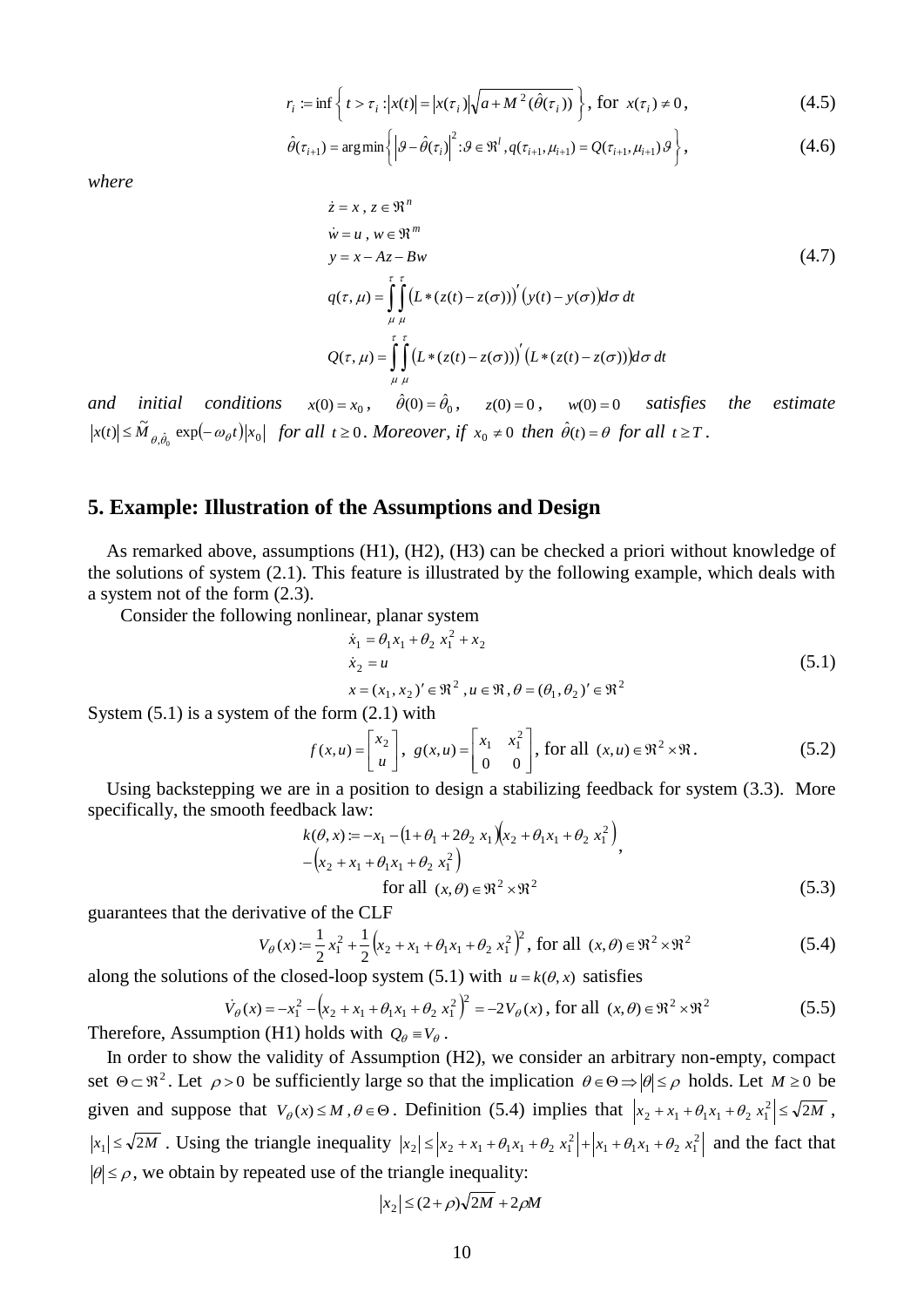$$
r_i := \inf \left\{ t > \tau_i : \left| x(t) \right| = \left| x(\tau_i) \right| \sqrt{a + M^2(\hat{\theta}(\tau_i))} \right\}, \text{ for } x(\tau_i) \neq 0,
$$
\n(4.5)

$$
\hat{\theta}(\tau_{i+1}) = \arg\min \left\{ \left| \mathcal{G} - \hat{\theta}(\tau_i) \right|^2 : \mathcal{G} \in \mathfrak{R}^l, q(\tau_{i+1}, \mu_{i+1}) = Q(\tau_{i+1}, \mu_{i+1}) \mathcal{G} \right\},\tag{4.6}
$$

*where*

1. 
$$
(1 - 1, 1, 1, 0)
$$
  
\n
$$
\dot{z} = x, z \in \mathbb{R}^n
$$
\n
$$
y = x - A z - Bw
$$
\n
$$
q(\tau, \mu) = \int_{\mu\mu}^{r} [L * (z(t) - z(\sigma))]^{r} (L * (z(t) - z(\sigma)))^{r} (y(t) - y(\sigma)) d\sigma dt
$$
\n
$$
\dot{z} = x, z \in \mathbb{R}^n
$$
\n
$$
y = x - A z - Bw
$$
\n
$$
q(\tau, \mu) = \int_{\mu}^{r} [L * (z(t) - z(\sigma))]^{r} (y(t) - y(\sigma)) d\sigma dt
$$
\n
$$
Q(\tau, \mu) = \int_{\mu}^{r} [L * (z(t) - z(\sigma))]^{r} (L * (z(t) - z(\sigma))) d\sigma dt
$$
\n
$$
y = x - A z - Bw
$$
\n
$$
q(\tau, \mu) = \int_{\mu}^{r} [L * (z(t) - z(\sigma))]^{r} (L * (z(t) - z(\sigma))) d\sigma dt
$$
\n
$$
y = x_0, \quad \hat{\theta}(0) = \hat{\theta}_0, \quad z(0) = 0, \quad w(0) = 0 \quad satisfies the estimate  $t \ge 0$ . Moreover, if  $x_0 \ne 0$  then  $\hat{\theta}(t) = \theta$  for all  $t \ge T$ .  
\n**f the Assumptions and Design**  
\n
$$
f(\tau, \mu) = \int_{\tau}^{T} [L * (z(t) - z(\sigma))]^{r} (L * (z(t) - z(\sigma))) d\sigma dt
$$
\n
$$
y = x_0, \quad \hat{\theta}(0) = \hat{\theta}_0, \quad z(0) = 0, \quad w(0) = 0 \quad satisfies the estimate  $t \ge 0$ . Moreover, if  $x_0 \ne 0$  then  $\hat{\theta}(t) = \theta$  for all  $t \ge T$ .  
\n**f f f f f f f f f f f f f f f**
$$
$$

*and initial conditions*  $x(0) = x_0$ ,  $\hat{\theta}(0) = \hat{\theta}_0$ ,  $z(0) = 0$ ,  $w(0) = 0$  satisfies the estimate  $|x(t)| \leq \widetilde{M}_{\theta, \hat{\theta}_0} \exp(-\omega_{\theta} t) |x_0|$  for all  $t \geq 0$ . Moreover, if  $x_0 \neq 0$  then  $\hat{\theta}(t) = \theta$  for all  $t \geq T$ .

#### **5. Example: Illustration of the Assumptions and Design**

 As remarked above, assumptions (H1), (H2), (H3) can be checked a priori without knowledge of the solutions of system (2.1). This feature is illustrated by the following example, which deals with a system not of the form (2.3).

Consider the following nonlinear, planar system

$$
\dot{x}_1 = \theta_1 x_1 + \theta_2 x_1^2 + x_2
$$
  
\n
$$
\dot{x}_2 = u
$$
  
\n
$$
x = (x_1, x_2)' \in \mathfrak{R}^2, u \in \mathfrak{R}, \theta = (\theta_1, \theta_2)' \in \mathfrak{R}^2
$$
\n(5.1)

System  $(5.1)$  is a system of the form  $(2.1)$  with

$$
f(x, u) = \begin{bmatrix} x_2 \\ u \end{bmatrix}, \ g(x, u) = \begin{bmatrix} x_1 & x_1^2 \\ 0 & 0 \end{bmatrix}, \text{ for all } (x, u) \in \mathbb{R}^2 \times \mathbb{R}.
$$
 (5.2)

 Using backstepping we are in a position to design a stabilizing feedback for system (3.3). More specifically, the smooth feedback law:

$$
k(\theta, x) := -x_1 - (1 + \theta_1 + 2\theta_2 x_1)(x_2 + \theta_1 x_1 + \theta_2 x_1^2),
$$
  
 
$$
-(x_2 + x_1 + \theta_1 x_1 + \theta_2 x_1^2)
$$
  
for all  $(x, \theta) \in \Re^2 \times \Re^2$  (5.3)

guarantees that the derivative of the CLF

$$
V_{\theta}(x) := \frac{1}{2}x_1^2 + \frac{1}{2}\left(x_2 + x_1 + \theta_1 x_1 + \theta_2 x_1^2\right)^2, \text{ for all } (x, \theta) \in \mathbb{R}^2 \times \mathbb{R}^2
$$
 (5.4)

along the solutions of the closed-loop system (5.1) with  $u = k(\theta, x)$  satisfies

$$
\dot{V}_{\theta}(x) = -x_1^2 - \left(x_2 + x_1 + \theta_1 x_1 + \theta_2 x_1^2\right)^2 = -2V_{\theta}(x), \text{ for all } (x, \theta) \in \mathbb{R}^2 \times \mathbb{R}^2
$$
\n(5.5)

\nation (H1) holds with  $\theta_1 = V$ 

Therefore, Assumption (H1) holds with  $Q_\theta = V_\theta$ .

 In order to show the validity of Assumption (H2), we consider an arbitrary non-empty, compact set  $\Theta \subset \mathbb{R}^2$ . Let  $\rho > 0$  be sufficiently large so that the implication  $\theta \in \Theta \Rightarrow |\theta| \le \rho$  holds. Let  $M \ge 0$  be given and suppose that  $V_{\theta}(x) \leq M$ ,  $\theta \in \Theta$ . Definition (5.4) implies that  $|x_2 + x_1 + \theta_1 x_1 + \theta_2 x_1^2| \leq \sqrt{2M}$ ,  $|x_1| \leq \sqrt{2M}$ . Using the triangle inequality  $|x_2| \leq |x_2 + x_1 + \theta_1 x_1 + \theta_2 x_1^2 + |x_1 + \theta_1 x_1 + \theta_2 x_1^2|$  and the fact that  $\theta \leq \rho$ , we obtain by repeated use of the triangle inequality:

$$
|x_2| \le (2+\rho)\sqrt{2M} + 2\rho M
$$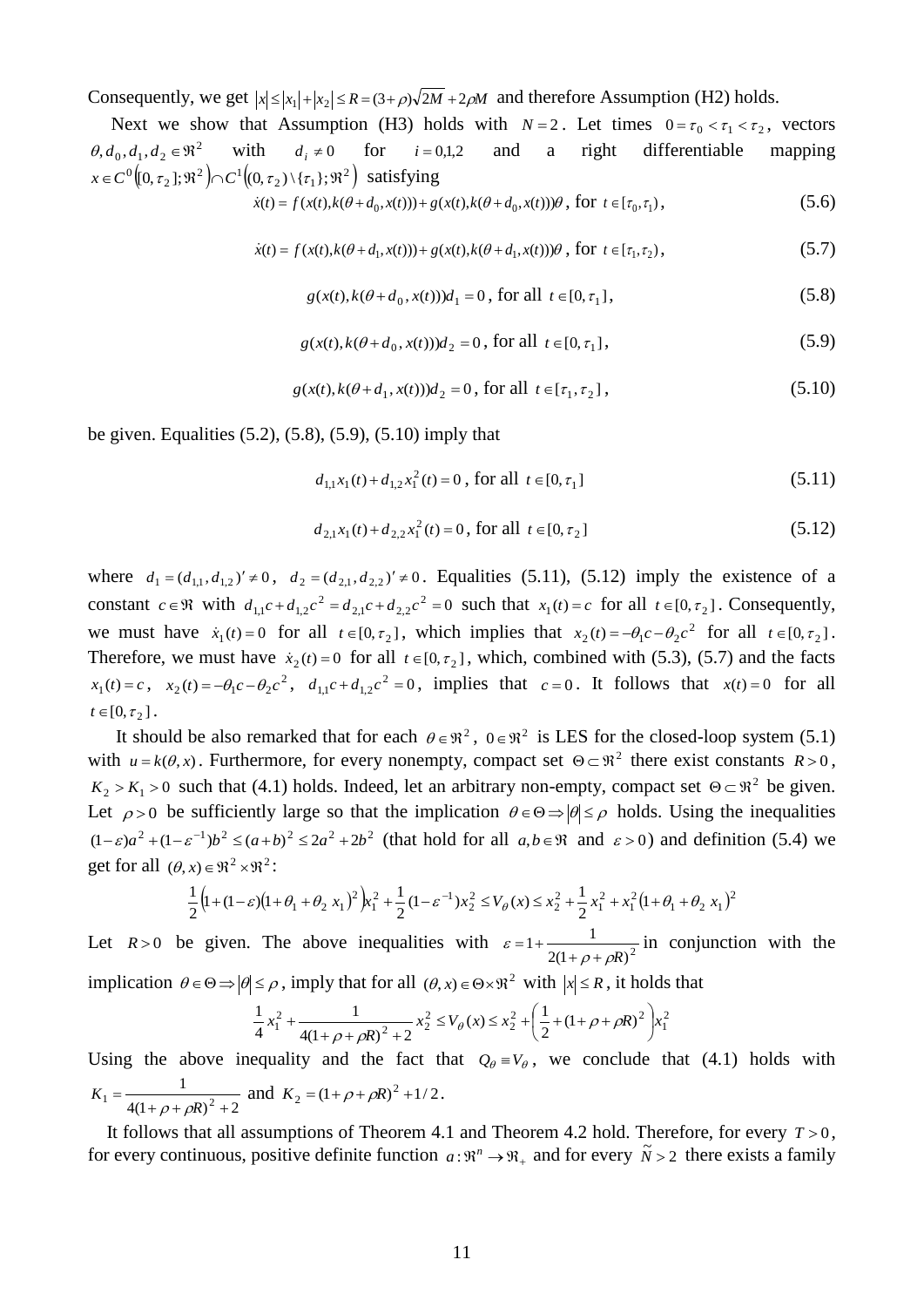Consequently, we get  $|x| \le |x_1| + |x_2| \le R = (3 + \rho)\sqrt{2M} + 2\rho M$  and therefore Assumption (H2) holds.

Next we show that Assumption (H3) holds with  $N=2$ . Let times  $0 = \tau_0 < \tau_1 < \tau_2$ , vectors  $\theta$ ,  $d_0$ ,  $d_1$ ,  $d_2 \in \Re^2$ with  $d_i \neq 0$ for  $i = 0,1,2$ and a right differentiable mapping  $x \in C^0([0, \tau_2]; \mathfrak{R}^2) \cap C^1((0, \tau_2) \setminus {\tau_1}; \mathfrak{R}^2)$  satisfying

$$
\dot{x}(t) = f(x(t), k(\theta + d_0, x(t))) + g(x(t), k(\theta + d_0, x(t)))\theta, \text{ for } t \in [\tau_0, \tau_1),
$$
\n(5.6)

$$
\dot{x}(t) = f(x(t), k(\theta + d_1, x(t))) + g(x(t), k(\theta + d_1, x(t)))\theta, \text{ for } t \in [\tau_1, \tau_2),
$$
\n(5.7)

$$
g(x(t), k(\theta + d_0, x(t)))d_1 = 0, \text{ for all } t \in [0, \tau_1],
$$
\n(5.8)

$$
g(x(t), k(\theta + d_0, x(t)))d_2 = 0, \text{ for all } t \in [0, \tau_1],
$$
\n(5.9)

$$
g(x(t), k(\theta + d_1, x(t)))d_2 = 0, \text{ for all } t \in [\tau_1, \tau_2],
$$
\n(5.10)

be given. Equalities (5.2), (5.8), (5.9), (5.10) imply that

$$
d_{1,1}x_1(t) + d_{1,2}x_1^2(t) = 0
$$
, for all  $t \in [0, \tau_1]$  (5.11)

$$
d_{2,1}x_1(t) + d_{2,2}x_1^2(t) = 0, \text{ for all } t \in [0, \tau_2]
$$
\n(5.12)

where  $d_1 = (d_{1,1}, d_{1,2})' \neq 0$ ,  $d_2 = (d_{2,1}, d_{2,2})' \neq 0$ . Equalities (5.11), (5.12) imply the existence of a constant  $c \in \mathbb{R}$  with  $d_{1,1}c + d_{1,2}c^2 = d_{2,1}c + d_{2,2}c^2 = 0$  such that  $x_1(t) = c$  for all  $t \in [0, \tau_2]$ . Consequently, we must have  $\dot{x}_1(t) = 0$  for all  $t \in [0, \tau_2]$ , which implies that  $x_2(t) = -\theta_1 c - \theta_2 c^2$  for all  $t \in [0, \tau_2]$ . Therefore, we must have  $\dot{x}_2(t) = 0$  for all  $t \in [0, \tau_2]$ , which, combined with (5.3), (5.7) and the facts  $x_1(t) = c$ ,  $x_2(t) = -\theta_1 c - \theta_2 c^2$ ,  $d_{1,1}c + d_{1,2}c^2 = 0$ , implies that  $c = 0$ . It follows that  $x(t) = 0$  for all  $t \in [0, \tau_2]$ .

It should be also remarked that for each  $\theta \in \mathbb{R}^2$ ,  $0 \in \mathbb{R}^2$  is LES for the closed-loop system (5.1) with  $u = k(\theta, x)$ . Furthermore, for every nonempty, compact set  $\Theta \subset \mathbb{R}^2$  there exist constants  $R > 0$ ,  $K_2 > K_1 > 0$  such that (4.1) holds. Indeed, let an arbitrary non-empty, compact set  $\Theta \subset \mathbb{R}^2$  be given. Let  $\rho > 0$  be sufficiently large so that the implication  $\theta \in \Theta \Rightarrow |\theta| \le \rho$  holds. Using the inequalities  $(1-\varepsilon)a^2 + (1-\varepsilon^{-1})b^2 \le (a+b)^2 \le 2a^2 + 2b^2$  (that hold for all  $a, b \in \mathbb{R}$  and  $\varepsilon > 0$ ) and definition (5.4) we get for all  $(\theta, x) \in \Re^2 \times \Re^2$ :

$$
\frac{1}{2} \left( 1 + (1 - \varepsilon) \left( 1 + \theta_1 + \theta_2 x_1 \right)^2 \right) x_1^2 + \frac{1}{2} (1 - \varepsilon^{-1}) x_2^2 \le V_\theta(x) \le x_2^2 + \frac{1}{2} x_1^2 + x_1^2 \left( 1 + \theta_1 + \theta_2 x_1 \right)^2
$$

Let  $R > 0$  be given. The above inequalities with  $\varepsilon = 1 + \frac{1}{2(1 + \rho + \rho R)^2}$  $1 + \frac{1}{1}$  $\epsilon = 1 + \frac{2(1 + \rho + \rho R)}{2(1 + \rho + \rho R)}$  $=1+\frac{1}{2}$  in conjunction with the

implication  $\theta \in \Theta \Rightarrow |\theta| \le \rho$ , imply that for all  $(\theta, x) \in \Theta \times \mathbb{R}^2$  with  $|x| \le R$ , it holds that

$$
\frac{1}{4}x_1^2 + \frac{1}{4(1+\rho+\rho R)^2 + 2}x_2^2 \le V_\theta(x) \le x_2^2 + \left(\frac{1}{2} + (1+\rho+\rho R)^2\right)x_1^2
$$

Using the above inequality and the fact that  $Q_{\theta} = V_{\theta}$ , we conclude that (4.1) holds with  $4(1 + \rho + \rho R)^2 + 2$ 1  $1 - \frac{1}{4(1+\rho+\rho R)^2 +}$  $=$ *R K*  $\rho$  +  $\rho$ and  $K_2 = (1 + \rho + \rho R)^2 + 1/2$ .

It follows that all assumptions of Theorem 4.1 and Theorem 4.2 hold. Therefore, for every  $T > 0$ , for every continuous, positive definite function  $a: \mathbb{R}^n \to \mathbb{R}_+$  and for every  $\tilde{N} > 2$  there exists a family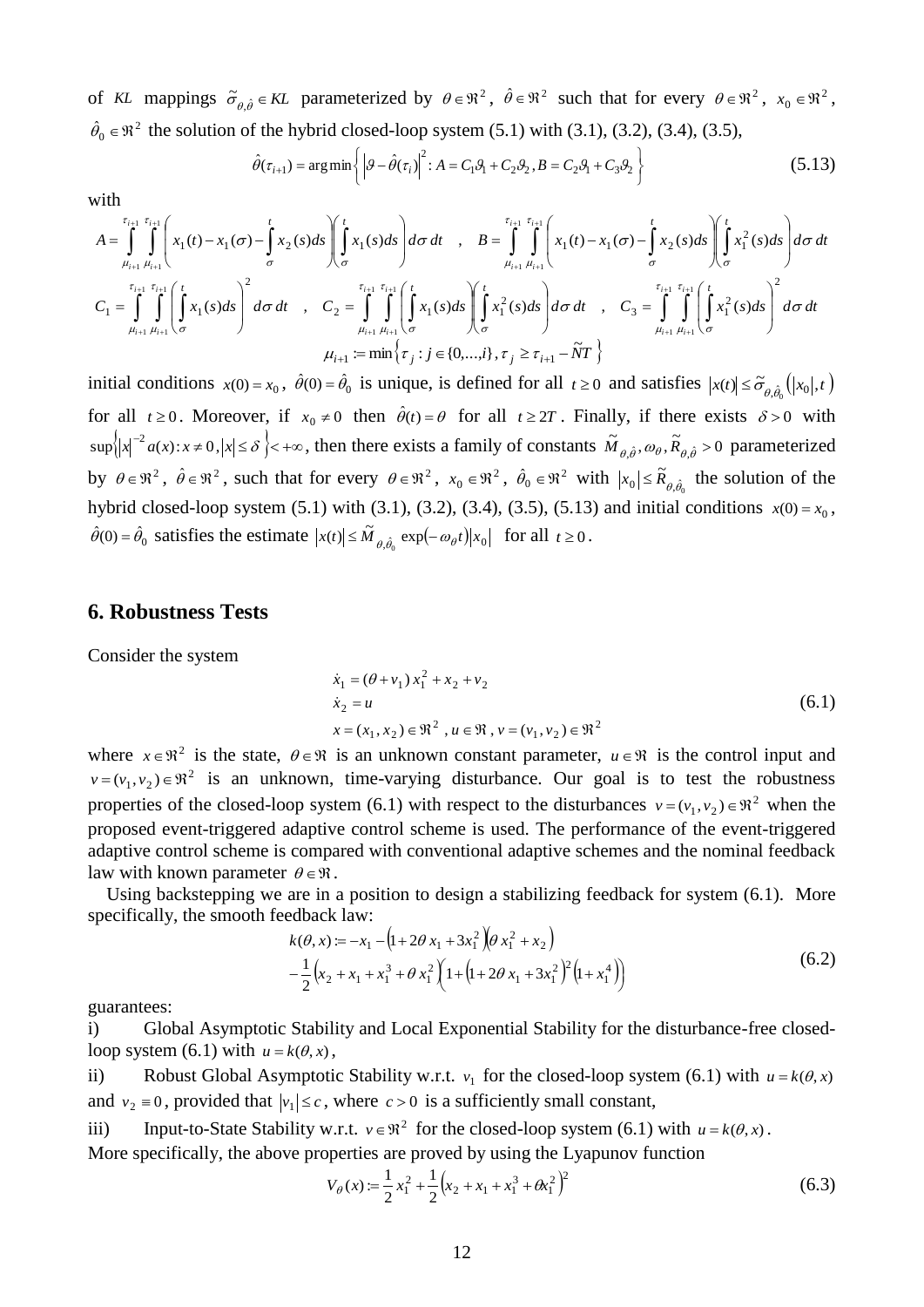of KL mappings  $\tilde{\sigma}_{\theta, \hat{\theta}} \in KL$  parameterized by  $\theta \in \mathbb{R}^2$ ,  $\hat{\theta} \in \mathbb{R}^2$  such that for every  $\theta \in \mathbb{R}^2$ ,  $x_0 \in \mathbb{R}^2$ ,  $\hat{\theta}_0 \in \mathbb{R}^2$  the solution of the hybrid closed-loop system (5.1) with (3.1), (3.2), (3.4), (3.5),

$$
\hat{\theta}(\tau_{i+1}) = \arg\min \left\{ \left| \mathcal{G} - \hat{\theta}(\tau_i) \right|^2 : A = C_1 \mathcal{G}_1 + C_2 \mathcal{G}_2, B = C_2 \mathcal{G}_1 + C_3 \mathcal{G}_2 \right\}
$$
\n(5.13)

with

$$
A = \int_{\mu_{i+1}}^{\tau_{i+1}} \int_{\mu_{i+1}}^{\tau_{i+1}} \left( x_1(t) - x_1(\sigma) - \int_{\sigma}^{t} x_2(s)ds \right) \left( \int_{\sigma}^{t} x_1(s)ds \right) d\sigma dt , \quad B = \int_{\mu_{i+1}}^{\tau_{i+1}} \int_{\mu_{i+1}}^{\tau_{i+1}} \left( x_1(t) - x_1(\sigma) - \int_{\sigma}^{t} x_2(s)ds \right) \left( \int_{\sigma}^{t} x_1^2(s)ds \right) d\sigma dt
$$
  

$$
C_1 = \int_{\mu_{i+1}}^{\tau_{i+1}} \int_{\mu_{i+1}}^{\tau_{i+1}} \left( \int_{\sigma}^{t} x_1(s)ds \right)^2 d\sigma dt , \quad C_2 = \int_{\mu_{i+1}}^{\tau_{i+1}} \int_{\mu_{i+1}}^{\tau_{i+1}} \left( \int_{\sigma}^{t} x_1(s)ds \right) \left( \int_{\sigma}^{t} x_1^2(s)ds \right) d\sigma dt , \quad C_3 = \int_{\mu_{i+1}}^{\tau_{i+1}} \int_{\mu_{i+1}}^{\tau_{i+1}} \left( \int_{\sigma}^{t} x_1^2(s)ds \right)^2 d\sigma dt
$$
  

$$
\mu_{i+1} := \min \{ \tau_j : j \in \{0, \ldots, i\}, \tau_j \ge \tau_{i+1} - \tilde{N}T \}
$$

initial conditions  $x(0) = x_0$ ,  $\hat{\theta}(0) = \hat{\theta}_0$  is unique, is defined for all  $t \ge 0$  and satisfies  $|x(t)| \le \tilde{\sigma}_{\theta, \hat{\theta}_0}(|x_0|, t)$ for all  $t \ge 0$ . Moreover, if  $x_0 \ne 0$  then  $\hat{\theta}(t) = \theta$  for all  $t \ge 2T$ . Finally, if there exists  $\delta > 0$  with  $\sup_{\alpha} \left\{ |x|^{-2} a(x): x \neq 0, |x| \leq \delta \right\} < +\infty$ , then there exists a family of constants  $\tilde{M}_{\theta, \hat{\theta}}, \omega_{\theta}, \tilde{R}_{\theta, \hat{\theta}} > 0$  parameterized by  $\theta \in \mathbb{R}^2$ ,  $\hat{\theta} \in \mathbb{R}^2$ , such that for every  $\theta \in \mathbb{R}^2$ ,  $x_0 \in \mathbb{R}^2$ ,  $\hat{\theta}_0 \in \mathbb{R}^2$  with  $|x_0| \leq \tilde{R}_{\theta, \hat{\theta}_0}$  $\tilde{r}$  $|x_0| \leq \widetilde{R}_{\theta, \hat{\theta}_0}$  the solution of the hybrid closed-loop system (5.1) with (3.1), (3.2), (3.4), (3.5), (5.13) and initial conditions  $x(0) = x_0$ ,  $\hat{\theta}(0) = \hat{\theta}_0$  satisfies the estimate  $|x(t)| \leq \tilde{M}_{\theta, \hat{\theta}_0} \exp(-\omega_{\theta} t)|x_0|$  for all  $t \geq 0$ .

## **6. Robustness Tests**

Consider the system

$$
\dot{x}_1 = (\theta + v_1) x_1^2 + x_2 + v_2
$$
  
\n
$$
\dot{x}_2 = u
$$
  
\n
$$
x = (x_1, x_2) \in \mathbb{R}^2, u \in \mathbb{R}, v = (v_1, v_2) \in \mathbb{R}^2
$$
\n(6.1)

where  $x \in \mathbb{R}^2$  is the state,  $\theta \in \mathbb{R}$  is an unknown constant parameter,  $u \in \mathbb{R}$  is the control input and  $v = (v_1, v_2) \in \mathbb{R}^2$  is an unknown, time-varying disturbance. Our goal is to test the robustness properties of the closed-loop system (6.1) with respect to the disturbances  $v = (v_1, v_2) \in \mathbb{R}^2$  when the proposed event-triggered adaptive control scheme is used. The performance of the event-triggered adaptive control scheme is compared with conventional adaptive schemes and the nominal feedback law with known parameter  $\theta \in \mathbb{R}$ .

 Using backstepping we are in a position to design a stabilizing feedback for system (6.1). More specifically, the smooth feedback law:

$$
k(\theta, x) := -x_1 - (1 + 2\theta x_1 + 3x_1^2)(\theta x_1^2 + x_2)
$$
  

$$
-\frac{1}{2}(x_2 + x_1 + x_1^3 + \theta x_1^2)(1 + (1 + 2\theta x_1 + 3x_1^2)^2(1 + x_1^4))
$$
 (6.2)

guarantees:

i) Global Asymptotic Stability and Local Exponential Stability for the disturbance-free closedloop system (6.1) with  $u = k(\theta, x)$ ,

ii) Robust Global Asymptotic Stability w.r.t.  $v_1$  for the closed-loop system (6.1) with  $u = k(\theta, x)$ and  $v_2 \equiv 0$ , provided that  $|v_1| \leq c$ , where  $c > 0$  is a sufficiently small constant,

iii) Input-to-State Stability w.r.t.  $v \in \mathbb{R}^2$  for the closed-loop system (6.1) with  $u = k(\theta, x)$ . More specifically, the above properties are proved by using the Lyapunov function

$$
V_{\theta}(x) := \frac{1}{2}x_1^2 + \frac{1}{2}\left(x_2 + x_1 + x_1^3 + \theta x_1^2\right)^2\tag{6.3}
$$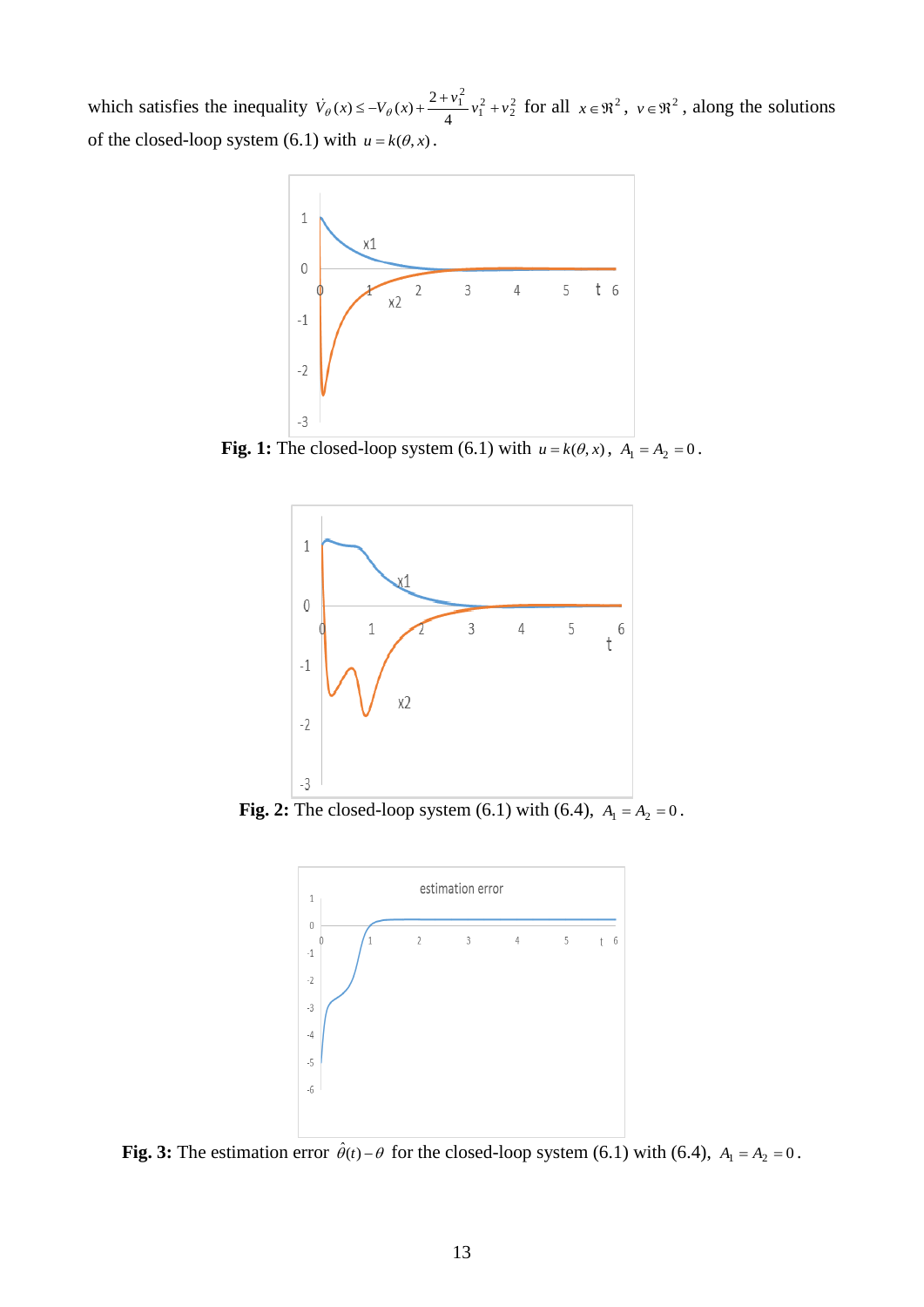which satisfies the inequality  $\dot{V}_\theta(x) \le -V_\theta(x) + \frac{2+V_1}{4}v_1^2 + v_2^2$  $\frac{2}{1}$ 4  $\dot{V}_\theta(x) \le -V_\theta(x) + \frac{2+v_1^2}{\mu^2}v_1^2 + v_2^2$  for all  $x \in \Re^2$ ,  $v \in \Re^2$ , along the solutions of the closed-loop system  $(6.1)$  with  $u = k(\theta, x)$ .



**Fig. 1:** The closed-loop system (6.1) with  $u = k(\theta, x)$ ,  $A_1 = A_2 = 0$ .



**Fig. 2:** The closed-loop system (6.1) with (6.4),  $A_1 = A_2 = 0$ .



**Fig. 3:** The estimation error  $\hat{\theta}(t) - \theta$  for the closed-loop system (6.1) with (6.4),  $A_1 = A_2 = 0$ .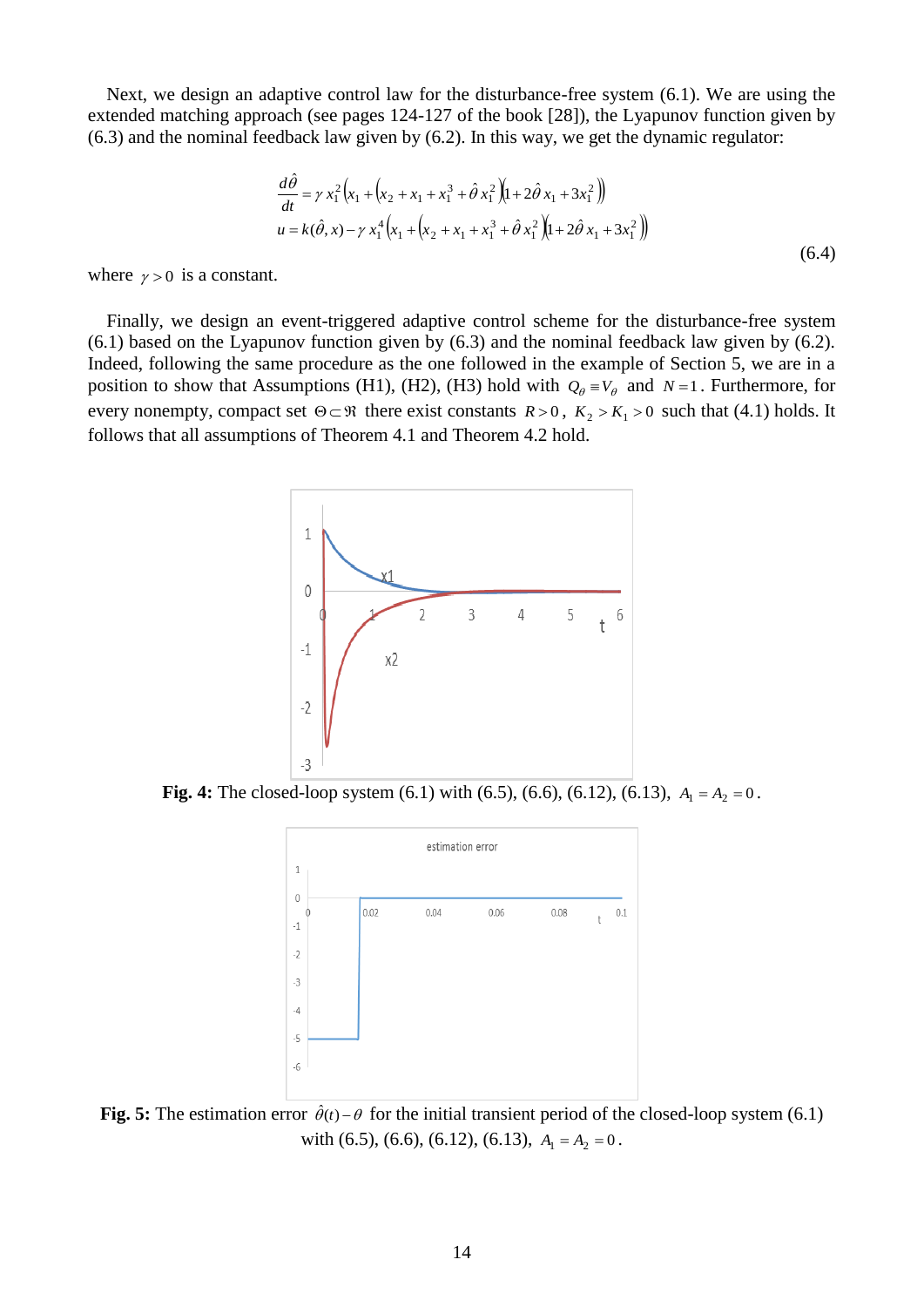Next, we design an adaptive control law for the disturbance-free system (6.1). We are using the extended matching approach (see pages 124-127 of the book [28]), the Lyapunov function given by (6.3) and the nominal feedback law given by (6.2). In this way, we get the dynamic regulator:

$$
\frac{d\hat{\theta}}{dt} = \gamma x_1^2 \left( x_1 + \left( x_2 + x_1 + x_1^3 + \hat{\theta} x_1^2 \right) \left( 1 + 2\hat{\theta} x_1 + 3x_1^2 \right) \right)
$$
  
\n
$$
u = k(\hat{\theta}, x) - \gamma x_1^4 \left( x_1 + \left( x_2 + x_1 + x_1^3 + \hat{\theta} x_1^2 \right) \left( 1 + 2\hat{\theta} x_1 + 3x_1^2 \right) \right)
$$
  
\n(6.4)

where  $\gamma > 0$  is a constant.

 Finally, we design an event-triggered adaptive control scheme for the disturbance-free system (6.1) based on the Lyapunov function given by (6.3) and the nominal feedback law given by (6.2). Indeed, following the same procedure as the one followed in the example of Section 5, we are in a position to show that Assumptions (H1), (H2), (H3) hold with  $Q_\theta = V_\theta$  and  $N = 1$ . Furthermore, for every nonempty, compact set  $\Theta \subset \mathbb{R}$  there exist constants  $R > 0$ ,  $K_2 > K_1 > 0$  such that (4.1) holds. It follows that all assumptions of Theorem 4.1 and Theorem 4.2 hold.



**Fig. 4:** The closed-loop system (6.1) with (6.5), (6.6), (6.12), (6.13),  $A_1 = A_2 = 0$ .



**Fig. 5:** The estimation error  $\hat{\theta}(t) - \theta$  for the initial transient period of the closed-loop system (6.1) with (6.5), (6.6), (6.12), (6.13),  $A_1 = A_2 = 0$ .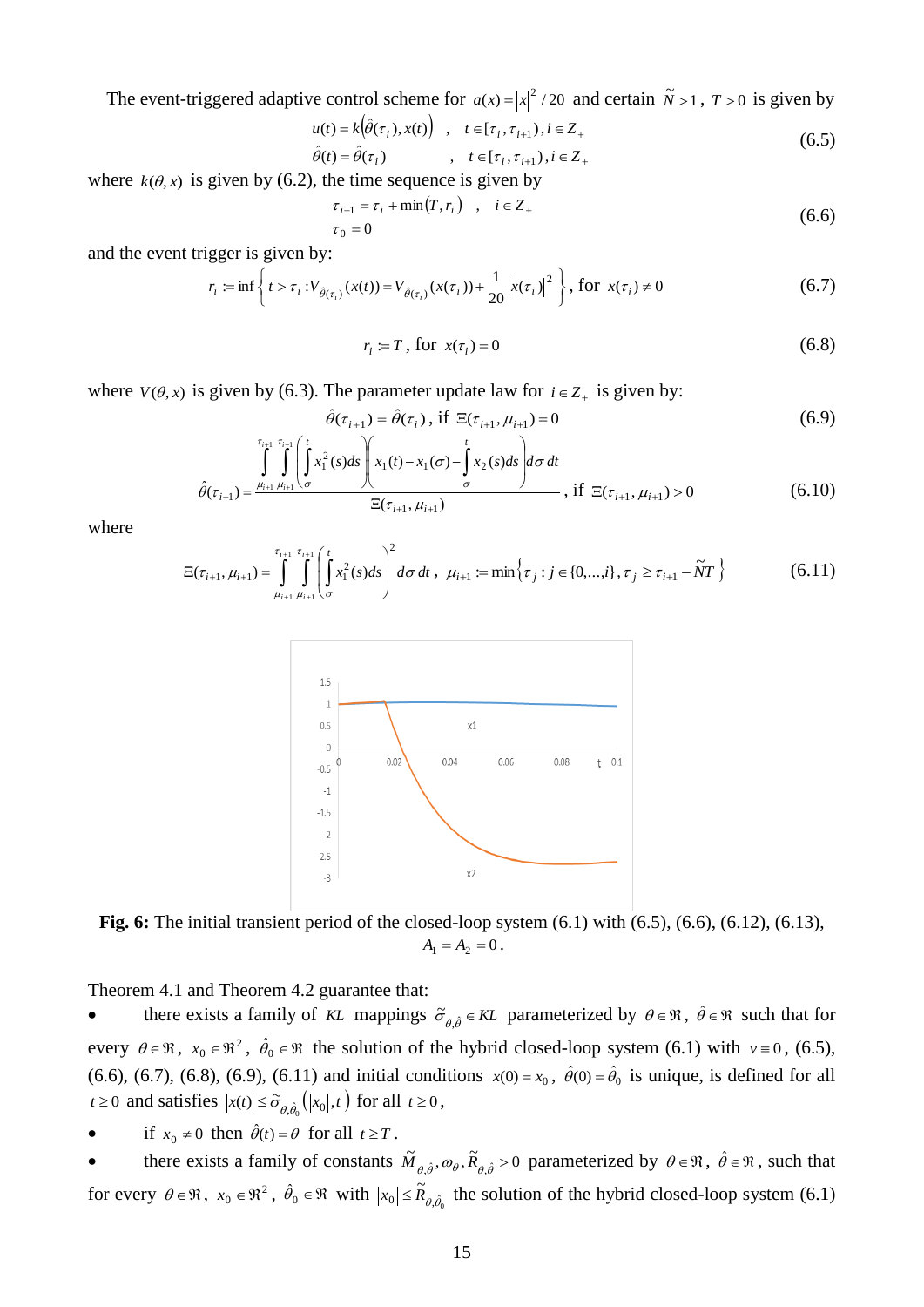The event-triggered adaptive control scheme for  $a(x) = |x|^2 / 20$  and certain  $\tilde{N} > 1$ ,  $T > 0$  is given by

$$
u(t) = k\left(\hat{\theta}(\tau_i), x(t)\right) , \quad t \in [\tau_i, \tau_{i+1}), i \in Z_+
$$
  
\n
$$
\hat{\theta}(t) = \hat{\theta}(\tau_i) , \quad t \in [\tau_i, \tau_{i+1}), i \in Z_+
$$
\n(6.5)

where  $k(\theta, x)$  is given by (6.2), the time sequence is given by

$$
\tau_{i+1} = \tau_i + \min(T, r_i) \quad , \quad i \in Z_+ \n\tau_0 = 0
$$
\n(6.6)

and the event trigger is given by:

$$
r_{i} := \inf \left\{ t > \tau_{i} : V_{\hat{\theta}(\tau_{i})}(x(t)) = V_{\hat{\theta}(\tau_{i})}(x(\tau_{i})) + \frac{1}{20} |x(\tau_{i})|^{2} \right\}, \text{ for } x(\tau_{i}) \neq 0 \tag{6.7}
$$

$$
r_i := T, \text{ for } x(\tau_i) = 0 \tag{6.8}
$$

where  $V(\theta, x)$  is given by (6.3). The parameter update law for  $i \in Z_+$  is given by:

$$
\hat{\theta}(\tau_{i+1}) = \hat{\theta}(\tau_i), \text{ if } \Xi(\tau_{i+1}, \mu_{i+1}) = 0 \tag{6.9}
$$

$$
\hat{\theta}(\tau_{i+1}) = \frac{\int_{\mu_{i+1}}^{\tau_{i+1}} \int_{\mu_{i+1}}^{\tau_{i+1}} \left( \int_{\sigma}^{t} x_1^2(s)ds \right) x_1(t) - x_1(\sigma) - \int_{\sigma}^t x_2(s)ds \, d\sigma \, dt}{\Xi(\tau_{i+1}, \mu_{i+1})}, \text{ if } \Xi(\tau_{i+1}, \mu_{i+1}) > 0 \tag{6.10}
$$

where

$$
\Xi(\tau_{i+1}, \mu_{i+1}) = \int_{\mu_{i+1}}^{\tau_{i+1}} \int_{\sigma}^{t} \left( \int_{\sigma}^{t} x_1^2(s) ds \right)^2 d\sigma dt, \quad \mu_{i+1} := \min \left\{ \tau_j : j \in \{0, \dots, i\}, \tau_j \ge \tau_{i+1} - \tilde{N}T \right\}
$$
(6.11)



**Fig. 6:** The initial transient period of the closed-loop system (6.1) with (6.5), (6.6), (6.12), (6.13),  $A_1 = A_2 = 0$ .

Theorem 4.1 and Theorem 4.2 guarantee that:

• there exists a family of KL mappings  $\tilde{\sigma}_{\theta, \hat{\theta}} \in KL$  parameterized by  $\theta \in \mathcal{R}$ ,  $\hat{\theta} \in \mathcal{R}$  such that for every  $\theta \in \mathbb{R}$ ,  $x_0 \in \mathbb{R}^2$ ,  $\hat{\theta}_0 \in \mathbb{R}$  the solution of the hybrid closed-loop system (6.1) with  $v = 0$ , (6.5), (6.6), (6.7), (6.8), (6.9), (6.11) and initial conditions  $x(0) = x_0$ ,  $\hat{\theta}(0) = \hat{\theta}_0$  is unique, is defined for all  $t \ge 0$  and satisfies  $|x(t)| \le \tilde{\sigma}_{\theta, \hat{\theta}_0}(|x_0|, t)$  for all  $t \ge 0$ ,

• if  $x_0 \neq 0$  then  $\hat{\theta}(t) = \theta$  for all  $t \geq T$ .

• there exists a family of constants  $\tilde{M}_{\theta,\hat{\theta}}, \omega_{\theta}, \tilde{R}_{\theta,\hat{\theta}} > 0$  parameterized by  $\theta \in \mathfrak{R}$ ,  $\hat{\theta} \in \mathfrak{R}$ , such that for every  $\theta \in \mathfrak{R}$ ,  $x_0 \in \mathfrak{R}^2$ ,  $\hat{\theta}_0 \in \mathfrak{R}$  with  $|x_0| \leq \tilde{R}_{\theta, \hat{\theta}_0}$  $\tilde{ }$  $|x_0| \le \widetilde{R}_{\theta, \hat{\theta}_0}$  the solution of the hybrid closed-loop system (6.1)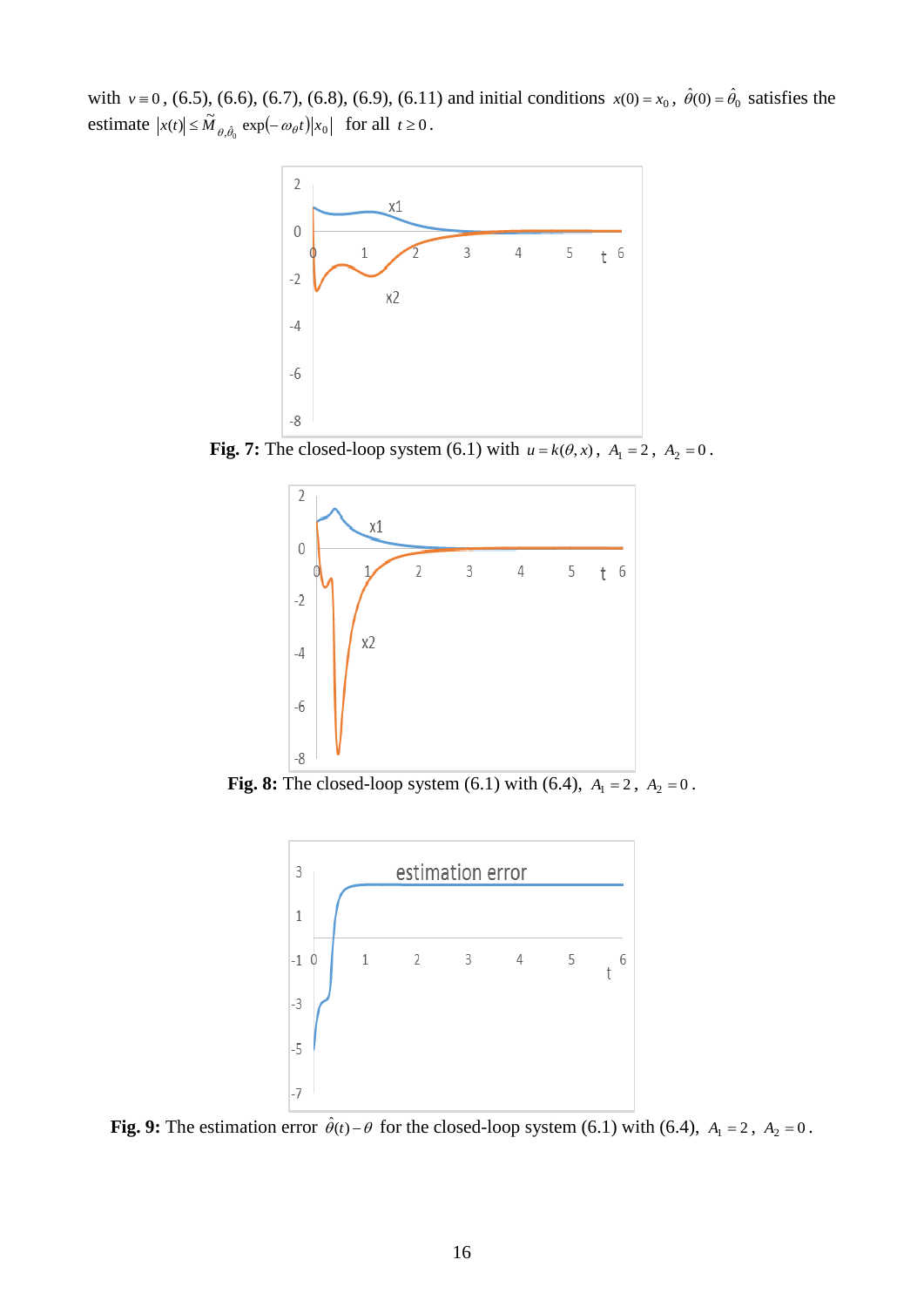with  $v = 0$ , (6.5), (6.6), (6.7), (6.8), (6.9), (6.11) and initial conditions  $x(0) = x_0$ ,  $\hat{\theta}(0) = \hat{\theta}_0$  satisfies the estimate  $|x(t)| \leq \widetilde{M}_{\theta, \hat{\theta}_0} \exp(-\omega_{\theta} t)|x_0|$  for all  $t \geq 0$ .



**Fig. 7:** The closed-loop system (6.1) with  $u = k(\theta, x)$ ,  $A_1 = 2$ ,  $A_2 = 0$ .



**Fig. 8:** The closed-loop system (6.1) with (6.4),  $A_1 = 2$ ,  $A_2 = 0$ .



**Fig. 9:** The estimation error  $\hat{\theta}(t) - \theta$  for the closed-loop system (6.1) with (6.4),  $A_1 = 2$ ,  $A_2 = 0$ .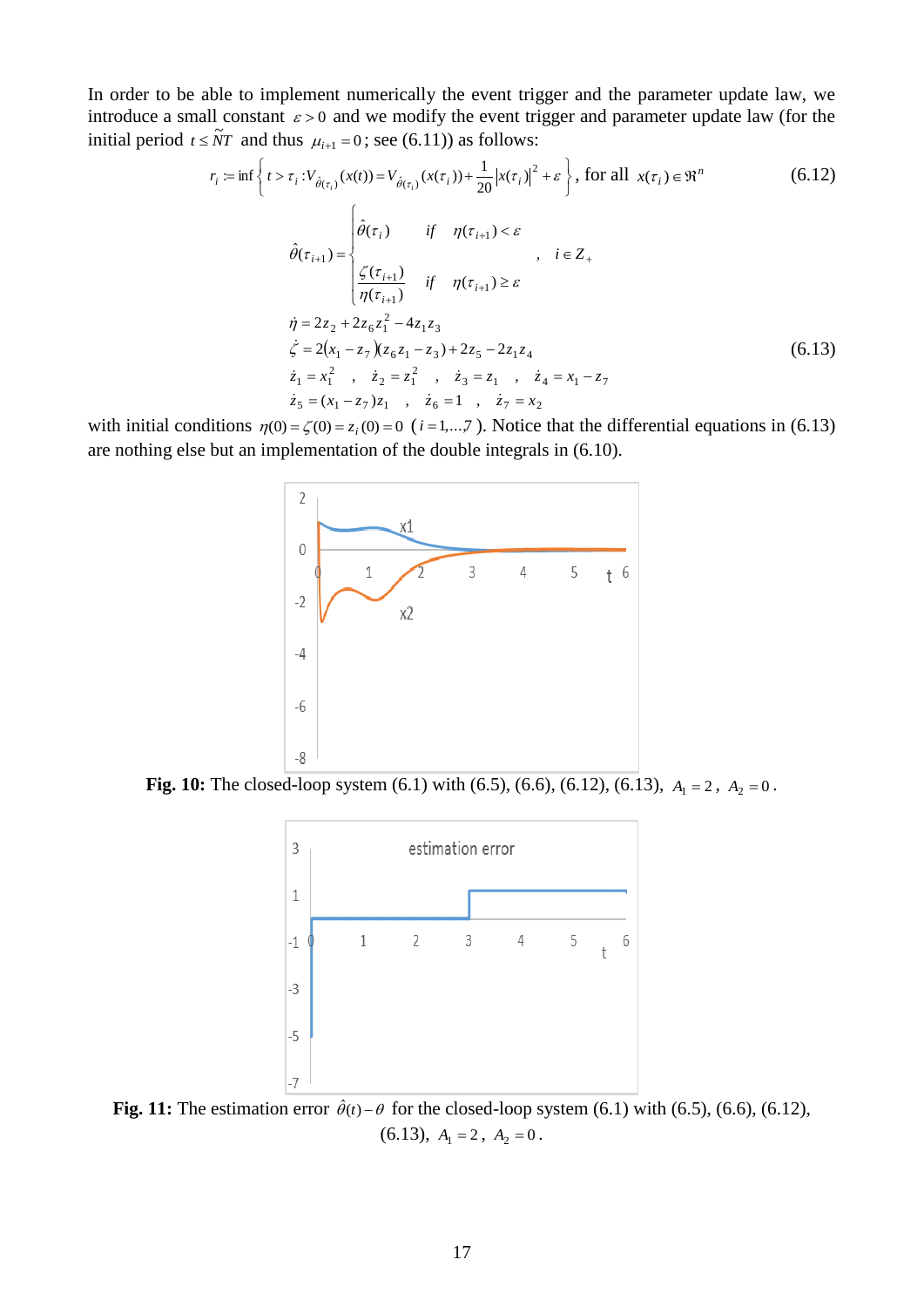In order to be able to implement numerically the event trigger and the parameter update law, we introduce a small constant  $\varepsilon > 0$  and we modify the event trigger and parameter update law (for the initial period  $t \leq \tilde{N}T$  and thus  $\mu_{i+1} = 0$ ; see (6.11)) as follows:

$$
r_{i} := \inf \left\{ t > \tau_{i} : V_{\hat{\theta}(\tau_{i})}(x(t)) = V_{\hat{\theta}(\tau_{i})}(x(\tau_{i})) + \frac{1}{20} |x(\tau_{i})|^{2} + \varepsilon \right\}, \text{ for all } x(\tau_{i}) \in \mathfrak{R}^{n}
$$
\n
$$
\hat{\theta}(\tau_{i+1}) = \begin{cases}\n\hat{\theta}(\tau_{i}) & \text{if } \eta(\tau_{i+1}) < \varepsilon \\
\frac{\zeta(\tau_{i+1})}{\eta(\tau_{i+1})} & \text{if } \eta(\tau_{i+1}) \ge \varepsilon\n\end{cases}, \quad i \in \mathbb{Z}_{+}
$$
\n
$$
\hat{\eta} = 2z_{2} + 2z_{6}z_{1}^{2} - 4z_{1}z_{3}
$$
\n
$$
\hat{\zeta} = 2(x_{1} - z_{7})(z_{6}z_{1} - z_{3}) + 2z_{5} - 2z_{1}z_{4}
$$
\n
$$
\dot{z}_{1} = x_{1}^{2}, \quad \dot{z}_{2} = z_{1}^{2}, \quad \dot{z}_{3} = z_{1}, \quad \dot{z}_{4} = x_{1} - z_{7}
$$
\n
$$
\dot{z}_{5} = (x_{1} - z_{7})z_{1}, \quad \dot{z}_{6} = 1, \quad \dot{z}_{7} = x_{2}
$$
\n(6.13)

with initial conditions  $\eta(0) = \zeta(0) = z_i(0) = 0$  (*i* = 1,...,7). Notice that the differential equations in (6.13) are nothing else but an implementation of the double integrals in (6.10).



**Fig. 10:** The closed-loop system (6.1) with (6.5), (6.6), (6.12), (6.13),  $A_1 = 2$ ,  $A_2 = 0$ .

![](_page_16_Figure_5.jpeg)

Fig. 11: The estimation error  $\hat{\theta}(t) - \theta$  for the closed-loop system (6.1) with (6.5), (6.6), (6.12),  $(6.13), A_1 = 2, A_2 = 0.$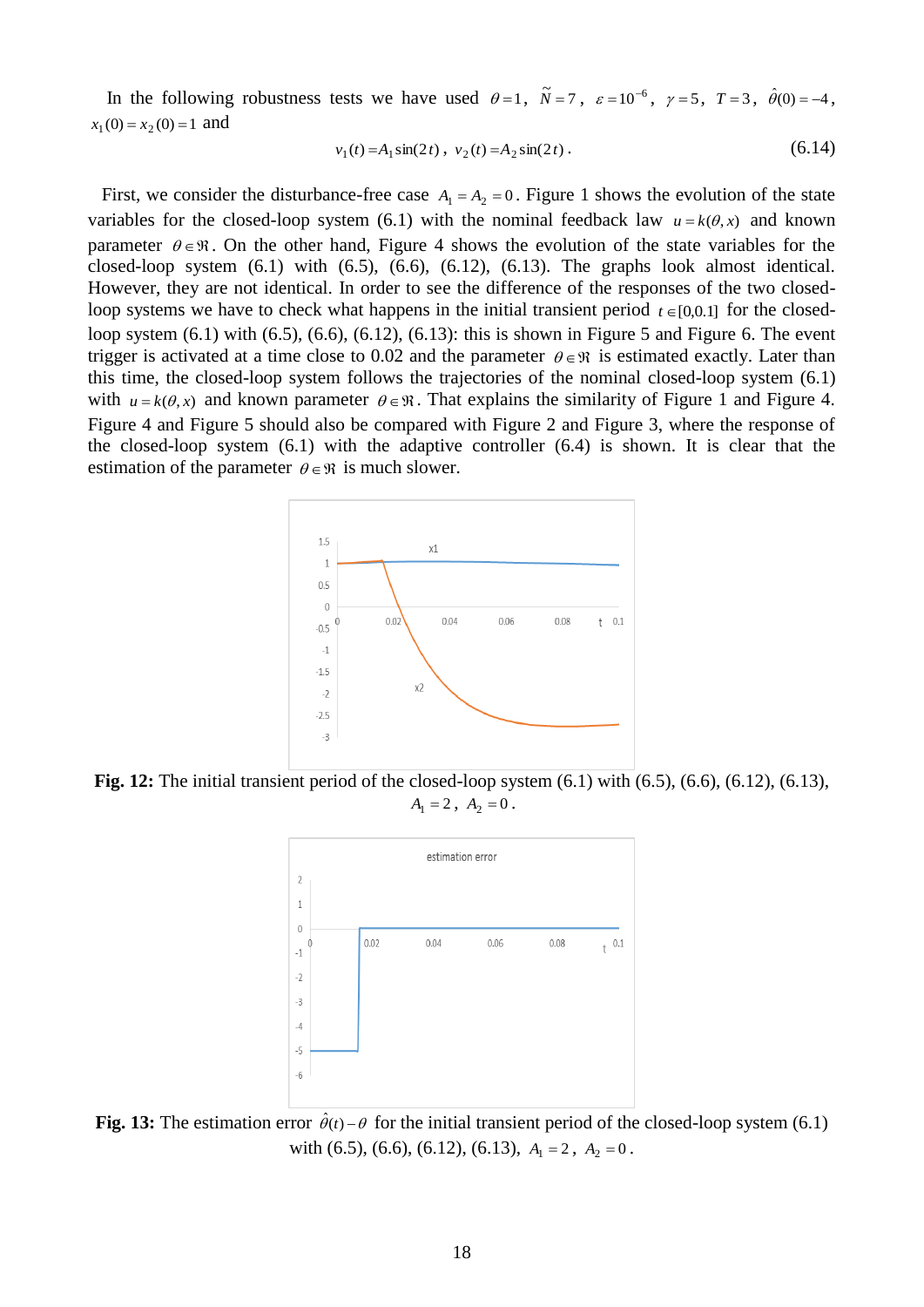In the following robustness tests we have used  $\theta = 1$ ,  $\tilde{N} = 7$ ,  $\varepsilon = 10^{-6}$ ,  $\gamma = 5$ ,  $T = 3$ ,  $\theta(0) = -4$ ,  $x_1(0) = x_2(0) = 1$  and

$$
v_1(t) = A_1 \sin(2t), \ v_2(t) = A_2 \sin(2t). \tag{6.14}
$$

First, we consider the disturbance-free case  $A_1 = A_2 = 0$ . Figure 1 shows the evolution of the state variables for the closed-loop system (6.1) with the nominal feedback law  $u = k(\theta, x)$  and known parameter  $\theta \in \mathcal{R}$ . On the other hand, Figure 4 shows the evolution of the state variables for the closed-loop system  $(6.1)$  with  $(6.5)$ ,  $(6.6)$ ,  $(6.12)$ ,  $(6.13)$ . The graphs look almost identical. However, they are not identical. In order to see the difference of the responses of the two closedloop systems we have to check what happens in the initial transient period  $t \in [0,0.1]$  for the closedloop system (6.1) with (6.5), (6.6), (6.12), (6.13): this is shown in Figure 5 and Figure 6. The event trigger is activated at a time close to 0.02 and the parameter  $\theta \in \mathcal{R}$  is estimated exactly. Later than this time, the closed-loop system follows the trajectories of the nominal closed-loop system (6.1) with  $u = k(\theta, x)$  and known parameter  $\theta \in \mathbb{R}$ . That explains the similarity of Figure 1 and Figure 4. Figure 4 and Figure 5 should also be compared with Figure 2 and Figure 3, where the response of the closed-loop system (6.1) with the adaptive controller (6.4) is shown. It is clear that the estimation of the parameter  $\theta \in \mathcal{R}$  is much slower.

![](_page_17_Figure_3.jpeg)

**Fig. 12:** The initial transient period of the closed-loop system (6.1) with (6.5), (6.6), (6.12), (6.13),  $A_1 = 2$ ,  $A_2 = 0$ .

![](_page_17_Figure_5.jpeg)

Fig. 13: The estimation error  $\hat{\theta}(t) - \theta$  for the initial transient period of the closed-loop system (6.1) with (6.5), (6.6), (6.12), (6.13),  $A_1 = 2$ ,  $A_2 = 0$ .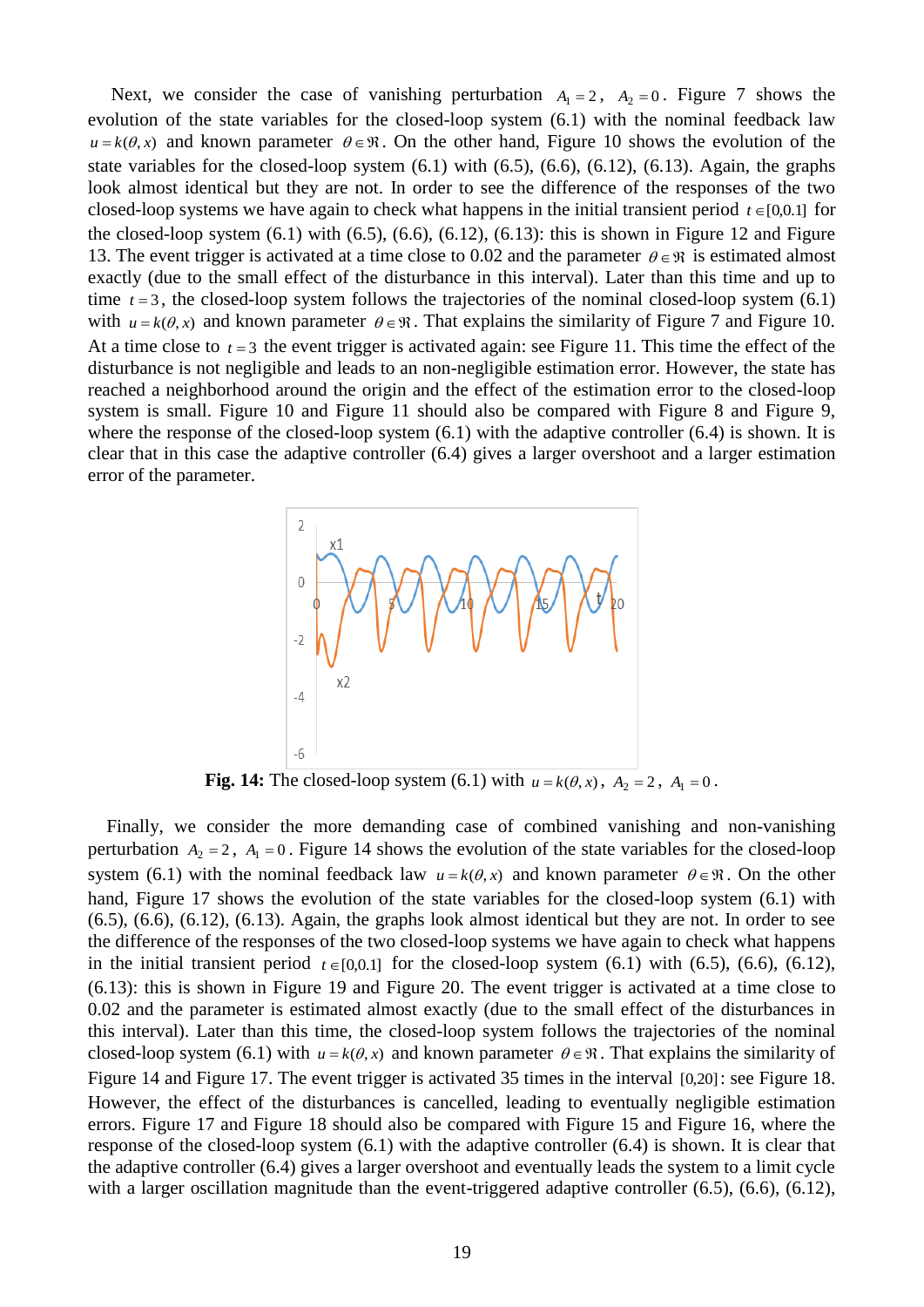Next, we consider the case of vanishing perturbation  $A_1 = 2$ ,  $A_2 = 0$ . Figure 7 shows the evolution of the state variables for the closed-loop system (6.1) with the nominal feedback law  $u = k(\theta, x)$  and known parameter  $\theta \in \mathbb{R}$ . On the other hand, Figure 10 shows the evolution of the state variables for the closed-loop system  $(6.1)$  with  $(6.5)$ ,  $(6.6)$ ,  $(6.12)$ ,  $(6.13)$ . Again, the graphs look almost identical but they are not. In order to see the difference of the responses of the two closed-loop systems we have again to check what happens in the initial transient period  $t \in [0,0.1]$  for the closed-loop system  $(6.1)$  with  $(6.5)$ ,  $(6.6)$ ,  $(6.12)$ ,  $(6.13)$ : this is shown in Figure 12 and Figure 13. The event trigger is activated at a time close to 0.02 and the parameter  $\theta \in \mathcal{R}$  is estimated almost exactly (due to the small effect of the disturbance in this interval). Later than this time and up to time  $t = 3$ , the closed-loop system follows the trajectories of the nominal closed-loop system  $(6.1)$ with  $u = k(\theta, x)$  and known parameter  $\theta \in \mathbb{R}$ . That explains the similarity of Figure 7 and Figure 10. At a time close to  $t = 3$  the event trigger is activated again: see Figure 11. This time the effect of the disturbance is not negligible and leads to an non-negligible estimation error. However, the state has reached a neighborhood around the origin and the effect of the estimation error to the closed-loop system is small. Figure 10 and Figure 11 should also be compared with Figure 8 and Figure 9, where the response of the closed-loop system  $(6.1)$  with the adaptive controller  $(6.4)$  is shown. It is clear that in this case the adaptive controller (6.4) gives a larger overshoot and a larger estimation error of the parameter.

![](_page_18_Figure_1.jpeg)

**Fig. 14:** The closed-loop system (6.1) with  $u = k(\theta, x)$ ,  $A_2 = 2$ ,  $A_1 = 0$ .

 Finally, we consider the more demanding case of combined vanishing and non-vanishing perturbation  $A_2 = 2$ ,  $A_1 = 0$ . Figure 14 shows the evolution of the state variables for the closed-loop system (6.1) with the nominal feedback law  $u = k(\theta, x)$  and known parameter  $\theta \in \mathbb{R}$ . On the other hand, Figure 17 shows the evolution of the state variables for the closed-loop system (6.1) with  $(6.5)$ ,  $(6.6)$ ,  $(6.12)$ ,  $(6.13)$ . Again, the graphs look almost identical but they are not. In order to see the difference of the responses of the two closed-loop systems we have again to check what happens in the initial transient period  $t \in [0,0.1]$  for the closed-loop system (6.1) with (6.5), (6.6), (6.12), (6.13): this is shown in Figure 19 and Figure 20. The event trigger is activated at a time close to 0.02 and the parameter is estimated almost exactly (due to the small effect of the disturbances in this interval). Later than this time, the closed-loop system follows the trajectories of the nominal closed-loop system (6.1) with  $u = k(\theta, x)$  and known parameter  $\theta \in \mathcal{R}$ . That explains the similarity of Figure 14 and Figure 17. The event trigger is activated 35 times in the interval [0,20]: see Figure 18. However, the effect of the disturbances is cancelled, leading to eventually negligible estimation errors. Figure 17 and Figure 18 should also be compared with Figure 15 and Figure 16, where the response of the closed-loop system (6.1) with the adaptive controller (6.4) is shown. It is clear that the adaptive controller (6.4) gives a larger overshoot and eventually leads the system to a limit cycle with a larger oscillation magnitude than the event-triggered adaptive controller (6.5), (6.6), (6.12),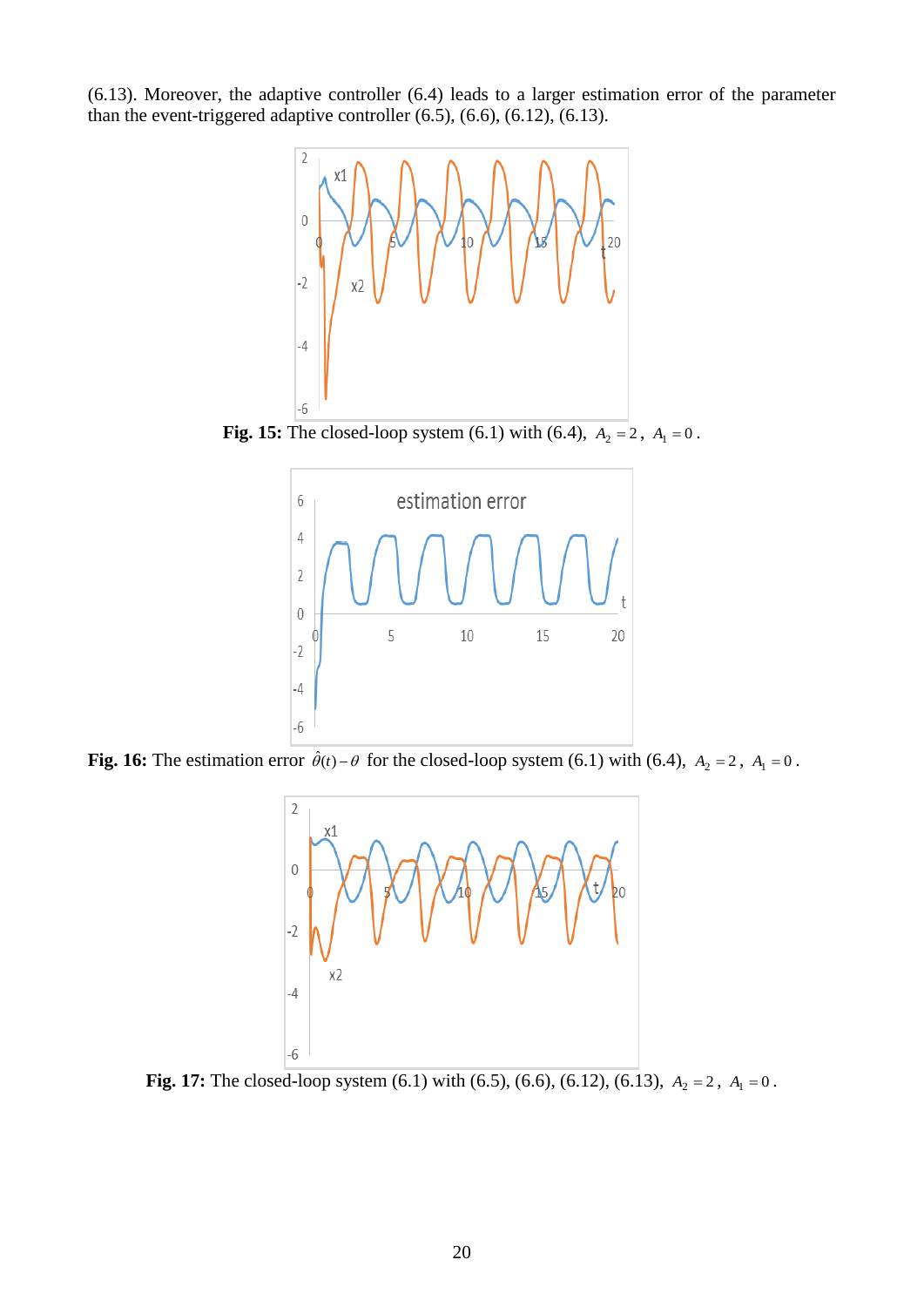(6.13). Moreover, the adaptive controller (6.4) leads to a larger estimation error of the parameter than the event-triggered adaptive controller (6.5), (6.6), (6.12), (6.13).

![](_page_19_Figure_1.jpeg)

**Fig. 15:** The closed-loop system (6.1) with (6.4),  $A_2 = 2$ ,  $A_1 = 0$ .

![](_page_19_Figure_3.jpeg)

**Fig. 16:** The estimation error  $\hat{\theta}(t) - \theta$  for the closed-loop system (6.1) with (6.4),  $A_2 = 2$ ,  $A_1 = 0$ .

![](_page_19_Figure_5.jpeg)

**Fig. 17:** The closed-loop system (6.1) with (6.5), (6.6), (6.12), (6.13),  $A_2 = 2$ ,  $A_1 = 0$ .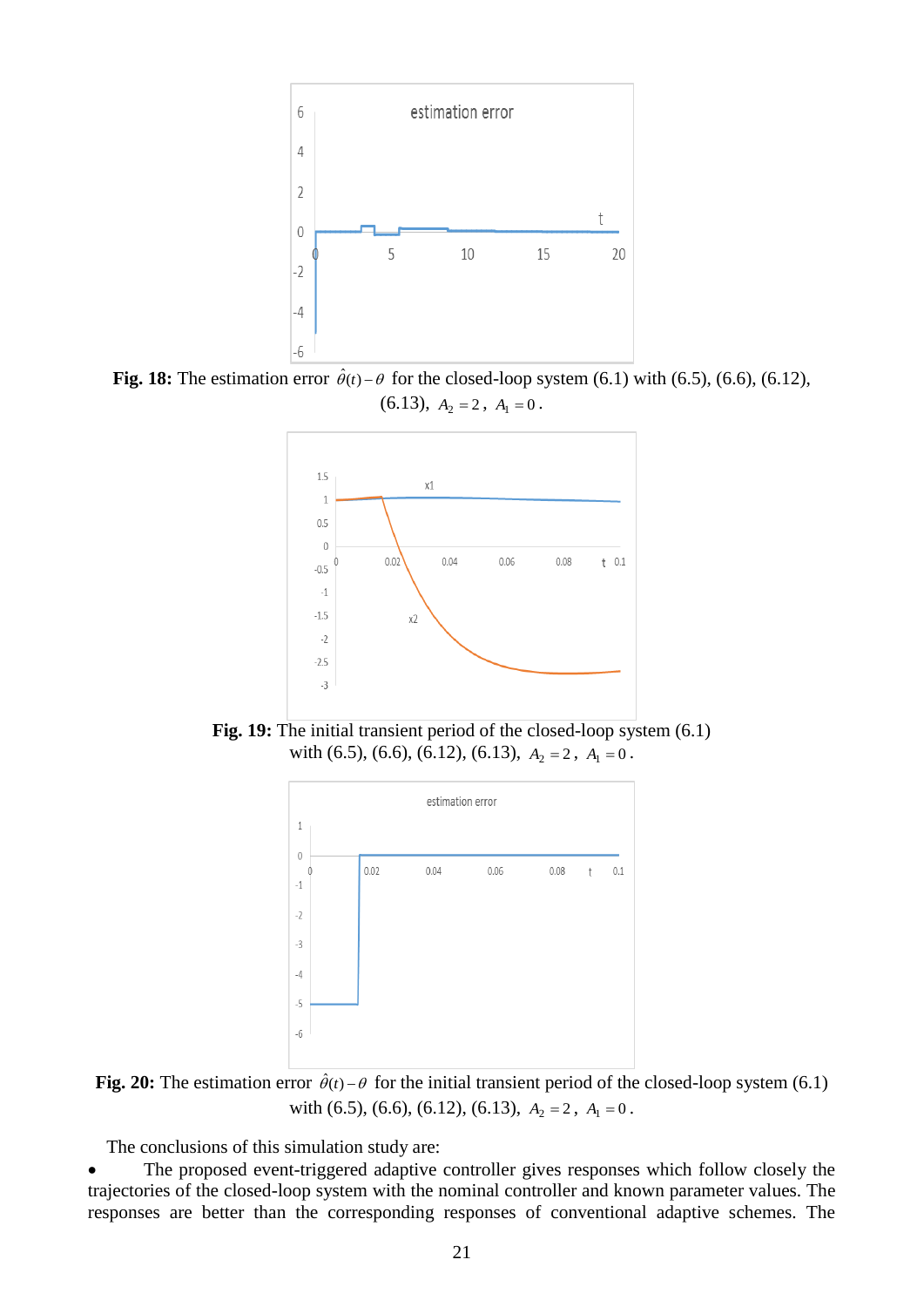![](_page_20_Figure_0.jpeg)

Fig. 18: The estimation error  $\hat{\theta}(t) - \theta$  for the closed-loop system (6.1) with (6.5), (6.6), (6.12),  $(6.13), A_2 = 2, A_1 = 0.$ 

![](_page_20_Figure_2.jpeg)

**Fig. 19:** The initial transient period of the closed-loop system (6.1) with (6.5), (6.6), (6.12), (6.13),  $A_2 = 2$ ,  $A_1 = 0$ .

![](_page_20_Figure_4.jpeg)

Fig. 20: The estimation error  $\hat{\theta}(t) - \theta$  for the initial transient period of the closed-loop system (6.1) with (6.5), (6.6), (6.12), (6.13),  $A_2 = 2$ ,  $A_1 = 0$ .

The conclusions of this simulation study are:

• The proposed event-triggered adaptive controller gives responses which follow closely the trajectories of the closed-loop system with the nominal controller and known parameter values. The responses are better than the corresponding responses of conventional adaptive schemes. The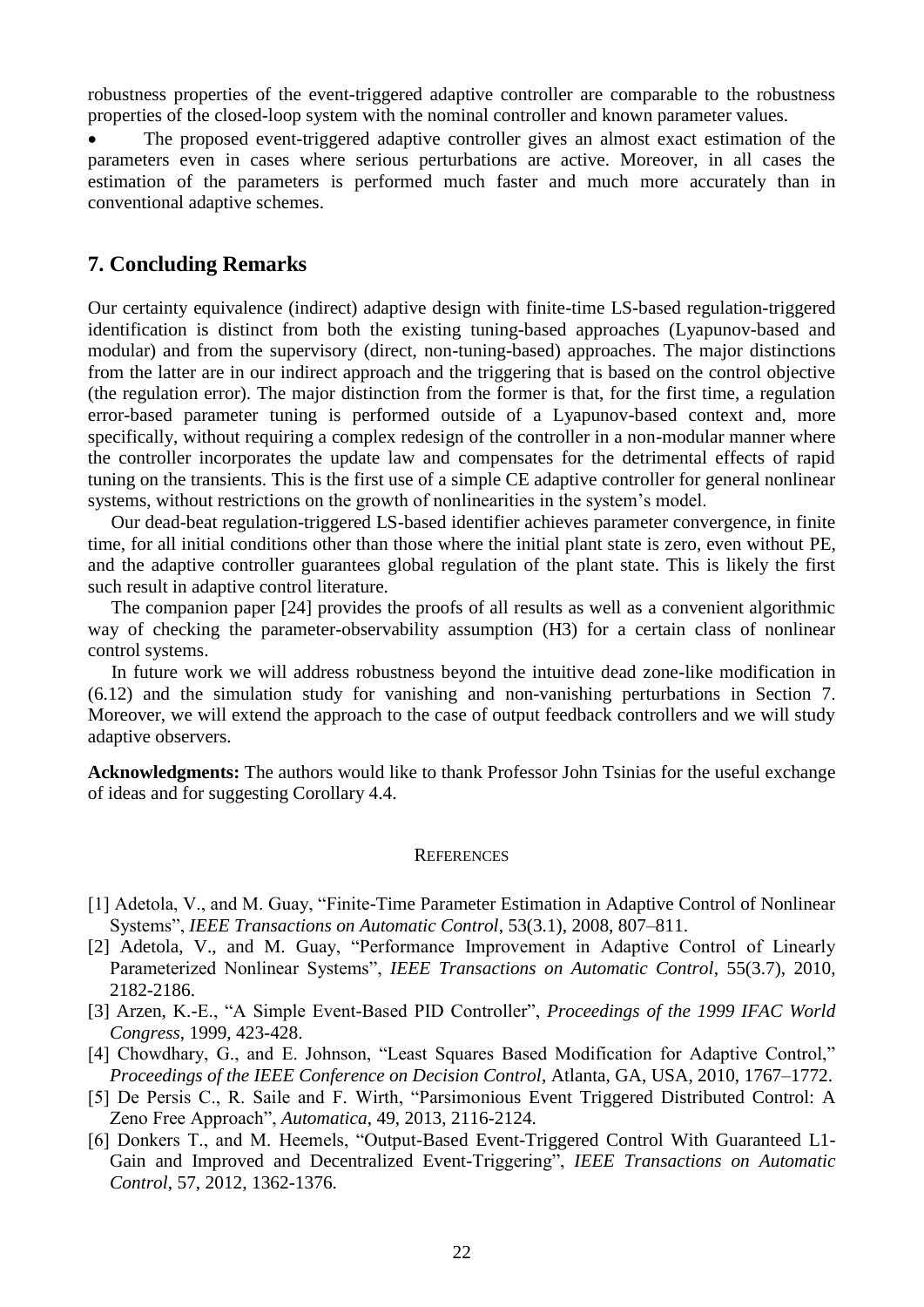robustness properties of the event-triggered adaptive controller are comparable to the robustness properties of the closed-loop system with the nominal controller and known parameter values.

 The proposed event-triggered adaptive controller gives an almost exact estimation of the parameters even in cases where serious perturbations are active. Moreover, in all cases the estimation of the parameters is performed much faster and much more accurately than in conventional adaptive schemes.

## **7. Concluding Remarks**

Our certainty equivalence (indirect) adaptive design with finite-time LS-based regulation-triggered identification is distinct from both the existing tuning-based approaches (Lyapunov-based and modular) and from the supervisory (direct, non-tuning-based) approaches. The major distinctions from the latter are in our indirect approach and the triggering that is based on the control objective (the regulation error). The major distinction from the former is that, for the first time, a regulation error-based parameter tuning is performed outside of a Lyapunov-based context and, more specifically, without requiring a complex redesign of the controller in a non-modular manner where the controller incorporates the update law and compensates for the detrimental effects of rapid tuning on the transients. This is the first use of a simple CE adaptive controller for general nonlinear systems, without restrictions on the growth of nonlinearities in the system's model.

 Our dead-beat regulation-triggered LS-based identifier achieves parameter convergence, in finite time, for all initial conditions other than those where the initial plant state is zero, even without PE, and the adaptive controller guarantees global regulation of the plant state. This is likely the first such result in adaptive control literature.

 The companion paper [24] provides the proofs of all results as well as a convenient algorithmic way of checking the parameter-observability assumption (H3) for a certain class of nonlinear control systems.

 In future work we will address robustness beyond the intuitive dead zone-like modification in (6.12) and the simulation study for vanishing and non-vanishing perturbations in Section 7. Moreover, we will extend the approach to the case of output feedback controllers and we will study adaptive observers.

**Acknowledgments:** The authors would like to thank Professor John Tsinias for the useful exchange of ideas and for suggesting Corollary 4.4.

#### **REFERENCES**

- [1] Adetola, V., and M. Guay, "Finite-Time Parameter Estimation in Adaptive Control of Nonlinear Systems", *IEEE Transactions on Automatic Control*, 53(3.1), 2008, 807–811.
- [2] Adetola, V., and M. Guay, "Performance Improvement in Adaptive Control of Linearly Parameterized Nonlinear Systems", *IEEE Transactions on Automatic Control*, 55(3.7), 2010, 2182-2186.
- [3] Arzen, K.-E., "A Simple Event-Based PID Controller", *Proceedings of the 1999 IFAC World Congress*, 1999, 423-428.
- [4] Chowdhary, G., and E. Johnson, "Least Squares Based Modification for Adaptive Control," *Proceedings of the IEEE Conference on Decision Control*, Atlanta, GA, USA, 2010, 1767–1772.
- [5] De Persis C., R. Saile and F. Wirth, "Parsimonious Event Triggered Distributed Control: A Zeno Free Approach", *Automatica*, 49, 2013, 2116-2124.
- [6] Donkers T., and M. Heemels, "Output-Based Event-Triggered Control With Guaranteed L1- Gain and Improved and Decentralized Event-Triggering", *IEEE Transactions on Automatic Control*, 57, 2012, 1362-1376.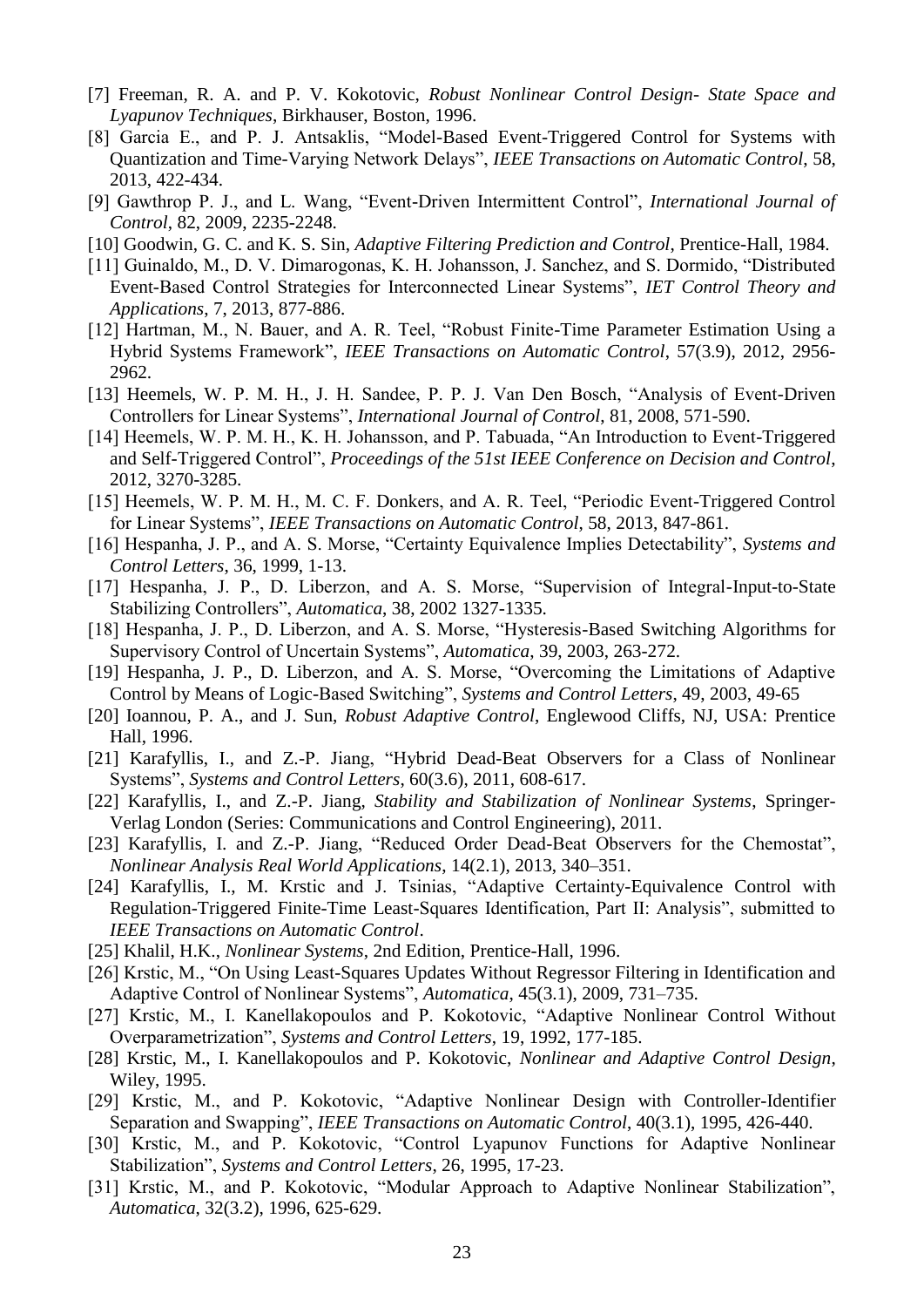- [7] Freeman, R. A. and P. V. Kokotovic, *Robust Nonlinear Control Design- State Space and Lyapunov Techniques*, Birkhauser, Boston, 1996.
- [8] Garcia E., and P. J. Antsaklis, "Model-Based Event-Triggered Control for Systems with Quantization and Time-Varying Network Delays", *IEEE Transactions on Automatic Control*, 58, 2013, 422-434.
- [9] Gawthrop P. J., and L. Wang, "Event-Driven Intermittent Control", *International Journal of Control*, 82, 2009, 2235-2248.
- [10] Goodwin, G. C. and K. S. Sin, *Adaptive Filtering Prediction and Control*, Prentice-Hall, 1984.
- [11] Guinaldo, M., D. V. Dimarogonas, K. H. Johansson, J. Sanchez, and S. Dormido, "Distributed Event-Based Control Strategies for Interconnected Linear Systems", *IET Control Theory and Applications*, 7, 2013, 877-886.
- [12] Hartman, M., N. Bauer, and A. R. Teel, "Robust Finite-Time Parameter Estimation Using a Hybrid Systems Framework", *IEEE Transactions on Automatic Control*, 57(3.9), 2012, 2956- 2962.
- [13] Heemels, W. P. M. H., J. H. Sandee, P. P. J. Van Den Bosch, "Analysis of Event-Driven Controllers for Linear Systems", *International Journal of Control*, 81, 2008, 571-590.
- [14] Heemels, W. P. M. H., K. H. Johansson, and P. Tabuada, "An Introduction to Event-Triggered and Self-Triggered Control", *Proceedings of the 51st IEEE Conference on Decision and Control*, 2012, 3270-3285.
- [15] Heemels, W. P. M. H., M. C. F. Donkers, and A. R. Teel, "Periodic Event-Triggered Control for Linear Systems", *IEEE Transactions on Automatic Control*, 58, 2013, 847-861.
- [16] Hespanha, J. P., and A. S. Morse, "Certainty Equivalence Implies Detectability", *Systems and Control Letters*, 36, 1999, 1-13.
- [17] Hespanha, J. P., D. Liberzon, and A. S. Morse, "Supervision of Integral-Input-to-State Stabilizing Controllers", *Automatica*, 38, 2002 1327-1335.
- [18] Hespanha, J. P., D. Liberzon, and A. S. Morse, "Hysteresis-Based Switching Algorithms for Supervisory Control of Uncertain Systems", *Automatica*, 39, 2003, 263-272.
- [19] Hespanha, J. P., D. Liberzon, and A. S. Morse, "Overcoming the Limitations of Adaptive Control by Means of Logic-Based Switching", *Systems and Control Letters*, 49, 2003, 49-65
- [20] Ioannou, P. A., and J. Sun, *Robust Adaptive Control*, Englewood Cliffs, NJ, USA: Prentice Hall, 1996.
- [21] Karafyllis, I., and Z.-P. Jiang, "Hybrid Dead-Beat Observers for a Class of Nonlinear Systems", *Systems and Control Letters*, 60(3.6), 2011, 608-617.
- [22] Karafyllis, I., and Z.-P. Jiang, *Stability and Stabilization of Nonlinear Systems*, Springer-Verlag London (Series: Communications and Control Engineering), 2011.
- [23] Karafyllis, I. and Z.-P. Jiang, "Reduced Order Dead-Beat Observers for the Chemostat", *Nonlinear Analysis Real World Applications*, 14(2.1), 2013, 340–351.
- [24] Karafyllis, I., M. Krstic and J. Tsinias, "Adaptive Certainty-Equivalence Control with Regulation-Triggered Finite-Time Least-Squares Identification, Part II: Analysis", submitted to *IEEE Transactions on Automatic Control*.
- [25] Khalil, H.K., *Nonlinear Systems*, 2nd Edition, Prentice-Hall, 1996.
- [26] Krstic, M., "On Using Least-Squares Updates Without Regressor Filtering in Identification and Adaptive Control of Nonlinear Systems", *Automatica*, 45(3.1), 2009, 731–735.
- [27] Krstic, M., I. Kanellakopoulos and P. Kokotovic, "Adaptive Nonlinear Control Without Overparametrization", *Systems and Control Letters*, 19, 1992, 177-185.
- [28] Krstic, M., I. Kanellakopoulos and P. Kokotovic, *Nonlinear and Adaptive Control Design*, Wiley, 1995.
- [29] Krstic, M., and P. Kokotovic, "Adaptive Nonlinear Design with Controller-Identifier Separation and Swapping", *IEEE Transactions on Automatic Control*, 40(3.1), 1995, 426-440.
- [30] Krstic, M., and P. Kokotovic, "Control Lyapunov Functions for Adaptive Nonlinear Stabilization", *Systems and Control Letters*, 26, 1995, 17-23.
- [31] Krstic, M., and P. Kokotovic, "Modular Approach to Adaptive Nonlinear Stabilization", *Automatica*, 32(3.2), 1996, 625-629.